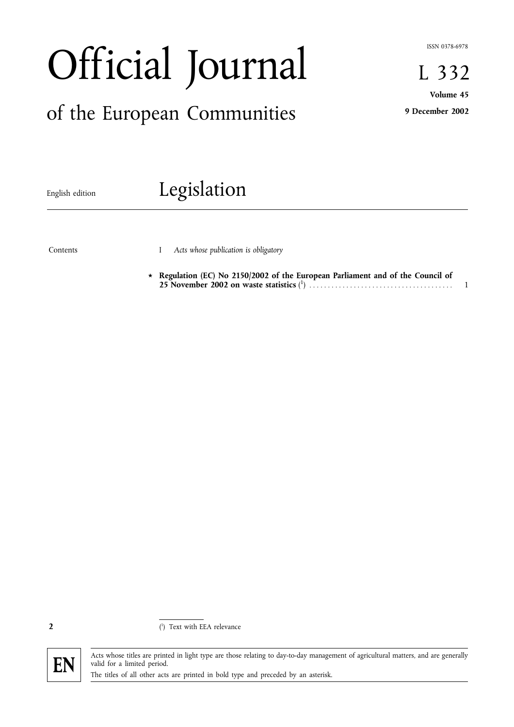ISSN 0378-6978

# Official Journal

# of the European Communities

L 332 Volume 45

9 December 2002

# English edition **Legislation**

Contents

I Acts whose publication is obligatory

 $\star$  Regulation (EC) No 2150/2002 of the European Parliament and of the Council of 25 November 2002 on waste statistics ( 1 ) ....................................... 1

2



Acts whose titles are printed in light type are those relating to day-to-day management of agricultural matters, and are generally FN valid for a limited period.<br>The titles of all other acts are printed in bold type and preceded by an asterisk.

<sup>(</sup> 1 ) Text with EEA relevance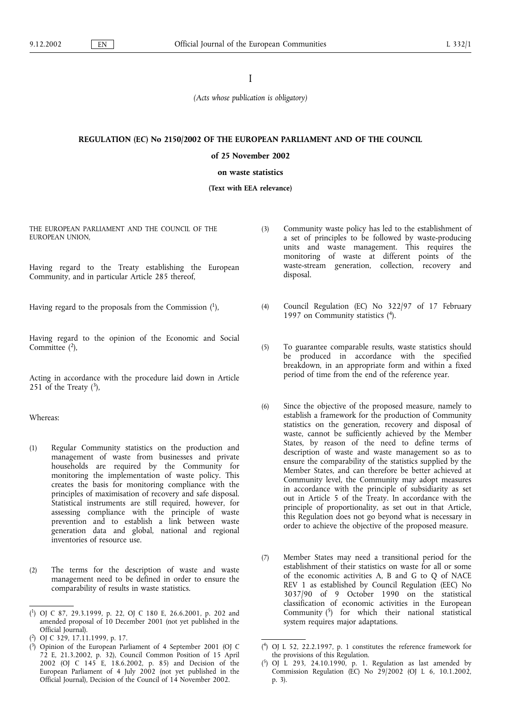## I

(Acts whose publication is obligatory)

#### REGULATION (EC) No 2150/2002 OF THE EUROPEAN PARLIAMENT AND OF THE COUNCIL

# of 25 November 2002

#### on waste statistics

#### (Text with EEA relevance)

THE EUROPEAN PARLIAMENT AND THE COUNCIL OF THE EUROPEAN UNION,

Having regard to the Treaty establishing the European Community, and in particular Article 285 thereof,

Having regard to the proposals from the Commission  $(1)$ ,

Having regard to the opinion of the Economic and Social Committee (2),

Acting in accordance with the procedure laid down in Article 251 of the Treaty  $(3)$ ,

Whereas:

- (1) Regular Community statistics on the production and management of waste from businesses and private households are required by the Community for monitoring the implementation of waste policy. This creates the basis for monitoring compliance with the principles of maximisation of recovery and safe disposal. Statistical instruments are still required, however, for assessing compliance with the principle of waste prevention and to establish a link between waste generation data and global, national and regional inventories of resource use.
- (2) The terms for the description of waste and waste management need to be defined in order to ensure the comparability of results in waste statistics.

- ( 2) OJ C 329, 17.11.1999, p. 17.
- ( 3) Opinion of the European Parliament of 4 September 2001 (OJ C 72 E, 21.3.2002, p. 32), Council Common Position of 15 April 2002 (OJ C 145 E, 18.6.2002, p. 85) and Decision of the European Parliament of 4 July 2002 (not yet published in the Official Journal), Decision of the Council of 14 November 2002.
- (3) Community waste policy has led to the establishment of a set of principles to be followed by waste-producing units and waste management. This requires the monitoring of waste at different points of the waste-stream generation, collection, recovery and disposal.
- (4) Council Regulation (EC) No 322/97 of 17 February 1997 on Community statistics (4).
- (5) To guarantee comparable results, waste statistics should be produced in accordance with the specified breakdown, in an appropriate form and within a fixed period of time from the end of the reference year.
- (6) Since the objective of the proposed measure, namely to establish a framework for the production of Community statistics on the generation, recovery and disposal of waste, cannot be sufficiently achieved by the Member States, by reason of the need to define terms of description of waste and waste management so as to ensure the comparability of the statistics supplied by the Member States, and can therefore be better achieved at Community level, the Community may adopt measures in accordance with the principle of subsidiarity as set out in Article 5 of the Treaty. In accordance with the principle of proportionality, as set out in that Article, this Regulation does not go beyond what is necessary in order to achieve the objective of the proposed measure.
- (7) Member States may need a transitional period for the establishment of their statistics on waste for all or some of the economic activities A, B and G to Q of NACE REV 1 as established by Council Regulation (EEC) No 3037/90 of 9 October 1990 on the statistical classification of economic activities in the European Community  $(5)$  for which their national statistical system requires major adaptations.

<sup>(</sup> 1) OJ C 87, 29.3.1999, p. 22, OJ C 180 E, 26.6.2001, p. 202 and amended proposal of 10 December 2001 (not yet published in the Official Journal).

<sup>(</sup> 4) OJ L 52, 22.2.1997, p. 1 constitutes the reference framework for the provisions of this Regulation.

<sup>(</sup> 5) OJ L 293, 24.10.1990, p. 1. Regulation as last amended by Commission Regulation (EC) No 29/2002 (OJ L 6, 10.1.2002, p. 3).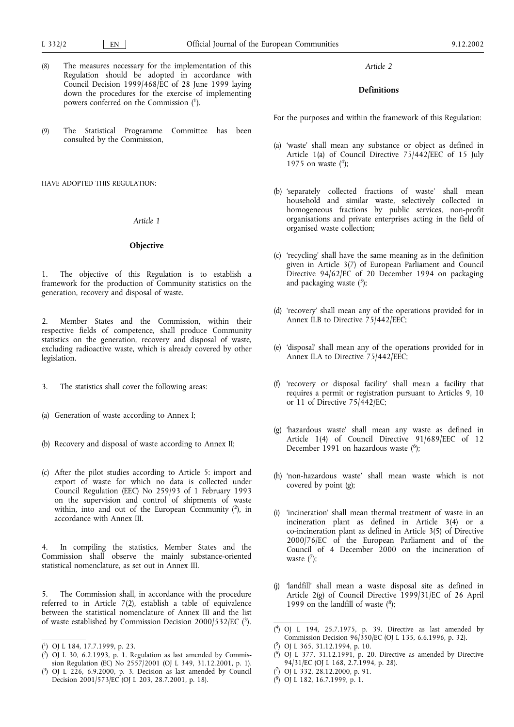- (8) The measures necessary for the implementation of this Regulation should be adopted in accordance with Council Decision 1999/468/EC of 28 June 1999 laying down the procedures for the exercise of implementing powers conferred on the Commission (1).
- (9) The Statistical Programme Committee has been consulted by the Commission,

HAVE ADOPTED THIS REGULATION:

## Article 1

#### Objective

1. The objective of this Regulation is to establish a framework for the production of Community statistics on the generation, recovery and disposal of waste.

2. Member States and the Commission, within their respective fields of competence, shall produce Community statistics on the generation, recovery and disposal of waste, excluding radioactive waste, which is already covered by other legislation.

- 3. The statistics shall cover the following areas:
- (a) Generation of waste according to Annex I;
- (b) Recovery and disposal of waste according to Annex II;
- (c) After the pilot studies according to Article 5: import and export of waste for which no data is collected under Council Regulation (EEC) No 259/93 of 1 February 1993 on the supervision and control of shipments of waste within, into and out of the European Community  $(2)$ , in accordance with Annex III.

In compiling the statistics, Member States and the Commission shall observe the mainly substance-oriented statistical nomenclature, as set out in Annex III.

5. The Commission shall, in accordance with the procedure referred to in Article 7(2), establish a table of equivalence between the statistical nomenclature of Annex III and the list of waste established by Commission Decision 2000/532/EC  $(3)$ .

Article 2

# Definitions

For the purposes and within the framework of this Regulation:

- (a) 'waste' shall mean any substance or object as defined in Article 1(a) of Council Directive 75/442/EEC of 15 July 1975 on waste  $(4)$ ;
- (b) 'separately collected fractions of waste' shall mean household and similar waste, selectively collected in homogeneous fractions by public services, non-profit organisations and private enterprises acting in the field of organised waste collection;
- (c) 'recycling' shall have the same meaning as in the definition given in Article 3(7) of European Parliament and Council Directive 94/62/EC of 20 December 1994 on packaging and packaging waste  $(5)$ ;
- (d) 'recovery' shall mean any of the operations provided for in Annex II.B to Directive 75/442/EEC;
- (e) 'disposal' shall mean any of the operations provided for in Annex II.A to Directive 75/442/EEC;
- (f) recovery or disposal facility shall mean a facility that requires a permit or registration pursuant to Articles 9, 10 or 11 of Directive 75/442/EC;
- (g) 'hazardous waste' shall mean any waste as defined in Article 1(4) of Council Directive 91/689/EEC of 12 December 1991 on hazardous waste (<sup>6</sup>);
- (h) 'non-hazardous waste' shall mean waste which is not covered by point (g);
- (i) 'incineration' shall mean thermal treatment of waste in an incineration plant as defined in Article 3(4) or a co-incineration plant as defined in Article 3(5) of Directive 2000/76/EC of the European Parliament and of the Council of 4 December 2000 on the incineration of waste  $(^{7})$ ;
- (j) 'landfill' shall mean a waste disposal site as defined in Article 2(g) of Council Directive 1999/31/EC of 26 April 1999 on the landfill of waste  $(^{8})$ ;

( 8) OJ L 182, 16.7.1999, p. 1.

<sup>(</sup> 1) OJ L 184, 17.7.1999, p. 23.

 $(^2)$  OJ L 30, 6.2.1993, p. 1. Regulation as last amended by Commission Regulation (EC) No 2557/2001 (OJ L 349, 31.12.2001, p. 1).

<sup>(</sup> 3) OJ L 226, 6.9.2000, p. 3. Decision as last amended by Council Decision 2001/573/EC (OJ L 203, 28.7.2001, p. 18).

<sup>(</sup> 4) OJ L 194, 25.7.1975, p. 39. Directive as last amended by Commission Decision 96/350/EC (OJ L 135, 6.6.1996, p. 32).

<sup>(</sup> 5) OJ L 365, 31.12.1994, p. 10.

<sup>(</sup> 6) OJ L 377, 31.12.1991, p. 20. Directive as amended by Directive 94/31/EC (OJ L 168, 2.7.1994, p. 28).

<sup>(</sup> 7) OJ L 332, 28.12.2000, p. 91.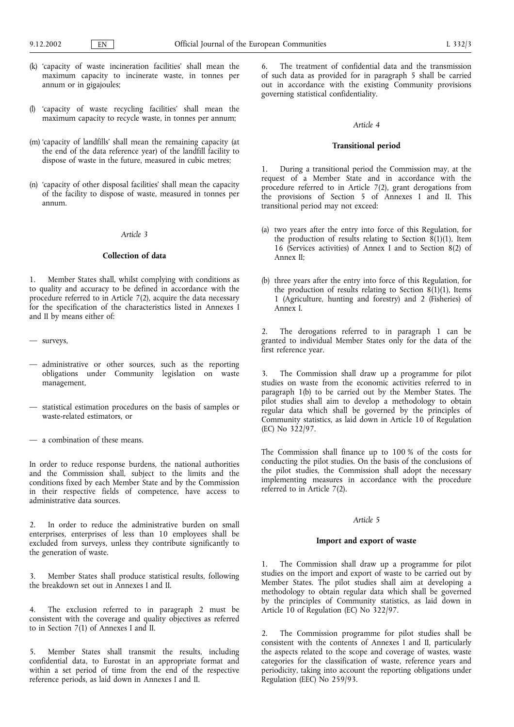- (k) 'capacity of waste incineration facilities' shall mean the maximum capacity to incinerate waste, in tonnes per annum or in gigajoules;
- (l) 'capacity of waste recycling facilities' shall mean the maximum capacity to recycle waste, in tonnes per annum;
- (m) capacity of landfills' shall mean the remaining capacity (at the end of the data reference year) of the landfill facility to dispose of waste in the future, measured in cubic metres;
- (n) 'capacity of other disposal facilities' shall mean the capacity of the facility to dispose of waste, measured in tonnes per annum.

#### Article 3

#### Collection of data

Member States shall, whilst complying with conditions as to quality and accuracy to be defined in accordance with the procedure referred to in Article 7(2), acquire the data necessary for the specification of the characteristics listed in Annexes I and II by means either of:

- surveys,
- administrative or other sources, such as the reporting obligations under Community legislation on waste management,
- $-$  statistical estimation procedures on the basis of samples or waste-related estimators, or
- a combination of these means.

In order to reduce response burdens, the national authorities and the Commission shall, subject to the limits and the conditions fixed by each Member State and by the Commission in their respective fields of competence, have access to administrative data sources.

2. In order to reduce the administrative burden on small enterprises, enterprises of less than 10 employees shall be excluded from surveys, unless they contribute significantly to the generation of waste.

3. Member States shall produce statistical results, following the breakdown set out in Annexes I and II.

4. The exclusion referred to in paragraph 2 must be consistent with the coverage and quality objectives as referred to in Section 7(1) of Annexes I and II.

5. Member States shall transmit the results, including confidential data, to Eurostat in an appropriate format and within a set period of time from the end of the respective reference periods, as laid down in Annexes I and II.

6. The treatment of confidential data and the transmission of such data as provided for in paragraph 5 shall be carried out in accordance with the existing Community provisions governing statistical confidentiality.

#### Article 4

# Transitional period

1. During a transitional period the Commission may, at the request of a Member State and in accordance with the procedure referred to in Article 7(2), grant derogations from the provisions of Section 5 of Annexes I and II. This transitional period may not exceed:

- (a) two years after the entry into force of this Regulation, for the production of results relating to Section  $8(1)(1)$ , Item 16 (Services activities) of Annex I and to Section 8(2) of Annex II;
- (b) three years after the entry into force of this Regulation, for the production of results relating to Section  $8(1)(1)$ , Items 1 (Agriculture, hunting and forestry) and 2 (Fisheries) of Annex I.

2. The derogations referred to in paragraph 1 can be granted to individual Member States only for the data of the first reference year.

3. The Commission shall draw up a programme for pilot studies on waste from the economic activities referred to in paragraph 1(b) to be carried out by the Member States. The pilot studies shall aim to develop a methodology to obtain regular data which shall be governed by the principles of Community statistics, as laid down in Article 10 of Regulation (EC) No 322/97.

The Commission shall finance up to 100 % of the costs for conducting the pilot studies. On the basis of the conclusions of the pilot studies, the Commission shall adopt the necessary implementing measures in accordance with the procedure referred to in Article 7(2).

#### Article 5

#### Import and export of waste

1. The Commission shall draw up a programme for pilot studies on the import and export of waste to be carried out by Member States. The pilot studies shall aim at developing a methodology to obtain regular data which shall be governed by the principles of Community statistics, as laid down in Article 10 of Regulation (EC) No 322/97.

2. The Commission programme for pilot studies shall be consistent with the contents of Annexes I and II, particularly the aspects related to the scope and coverage of wastes, waste categories for the classification of waste, reference years and periodicity, taking into account the reporting obligations under Regulation (EEC) No 259/93.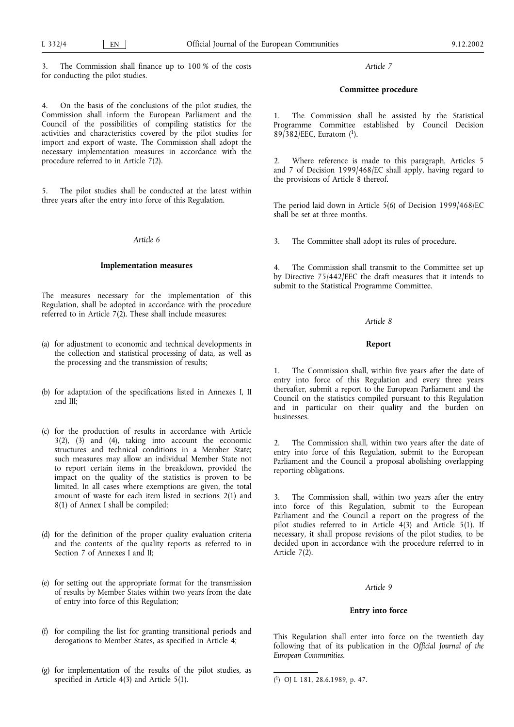The Commission shall finance up to 100 % of the costs for conducting the pilot studies.

4. On the basis of the conclusions of the pilot studies, the Commission shall inform the European Parliament and the Council of the possibilities of compiling statistics for the activities and characteristics covered by the pilot studies for import and export of waste. The Commission shall adopt the necessary implementation measures in accordance with the procedure referred to in Article 7(2).

5. The pilot studies shall be conducted at the latest within three years after the entry into force of this Regulation.

#### Article 6

#### Implementation measures

The measures necessary for the implementation of this Regulation, shall be adopted in accordance with the procedure referred to in Article  $7(2)$ . These shall include measures:

- (a) for adjustment to economic and technical developments in the collection and statistical processing of data, as well as the processing and the transmission of results;
- (b) for adaptation of the specifications listed in Annexes I, II and III;
- (c) for the production of results in accordance with Article 3(2), (3) and (4), taking into account the economic structures and technical conditions in a Member State; such measures may allow an individual Member State not to report certain items in the breakdown, provided the impact on the quality of the statistics is proven to be limited. In all cases where exemptions are given, the total amount of waste for each item listed in sections 2(1) and 8(1) of Annex I shall be compiled;
- (d) for the definition of the proper quality evaluation criteria and the contents of the quality reports as referred to in Section 7 of Annexes I and II;
- (e) for setting out the appropriate format for the transmission of results by Member States within two years from the date of entry into force of this Regulation;
- (f) for compiling the list for granting transitional periods and derogations to Member States, as specified in Article 4;
- (g) for implementation of the results of the pilot studies, as specified in Article 4(3) and Article 5(1).

Article 7

#### Committee procedure

The Commission shall be assisted by the Statistical Programme Committee established by Council Decision 89/382/EEC, Euratom  $(1)$ .

2. Where reference is made to this paragraph, Articles 5 and 7 of Decision 1999/468/EC shall apply, having regard to the provisions of Article 8 thereof.

The period laid down in Article 5(6) of Decision 1999/468/EC shall be set at three months.

3. The Committee shall adopt its rules of procedure.

4. The Commission shall transmit to the Committee set up by Directive 75/442/EEC the draft measures that it intends to submit to the Statistical Programme Committee.

#### Article 8

# Report

1. The Commission shall, within five years after the date of entry into force of this Regulation and every three years thereafter, submit a report to the European Parliament and the Council on the statistics compiled pursuant to this Regulation and in particular on their quality and the burden on businesses.

2. The Commission shall, within two years after the date of entry into force of this Regulation, submit to the European Parliament and the Council a proposal abolishing overlapping reporting obligations.

3. The Commission shall, within two years after the entry into force of this Regulation, submit to the European Parliament and the Council a report on the progress of the pilot studies referred to in Article 4(3) and Article 5(1). If necessary, it shall propose revisions of the pilot studies, to be decided upon in accordance with the procedure referred to in Article  $7(\overline{2})$ .

#### Article 9

# Entry into force

This Regulation shall enter into force on the twentieth day following that of its publication in the Official Journal of the European Communities.

<sup>(</sup> 1) OJ L 181, 28.6.1989, p. 47.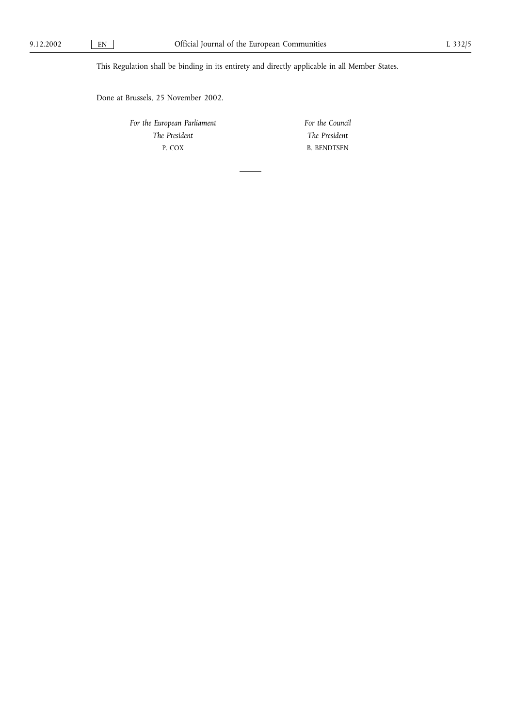This Regulation shall be binding in its entirety and directly applicable in all Member States.

Done at Brussels, 25 November 2002.

For the European Parliament The President P. COX

For the Council The President B. BENDTSEN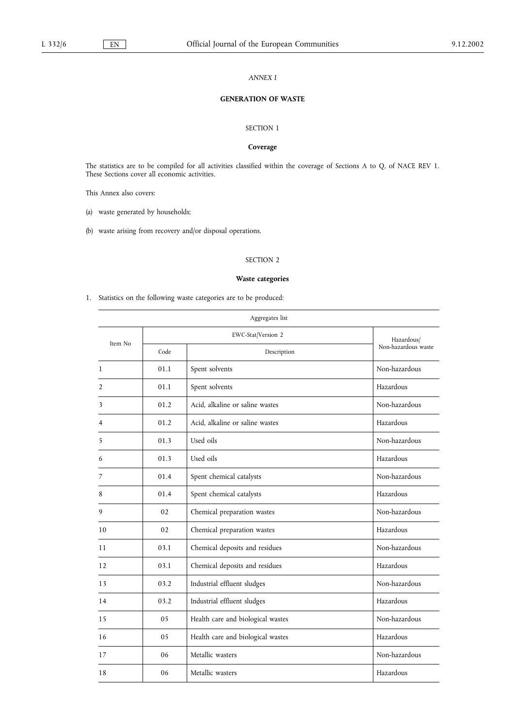## ANNEX I

# GENERATION OF WASTE

# SECTION 1

# Coverage

The statistics are to be compiled for all activities classified within the coverage of Sections A to Q, of NACE REV 1. These Sections cover all economic activities.

This Annex also covers:

(a) waste generated by households;

(b) waste arising from recovery and/or disposal operations.

# SECTION 2

# Waste categories

1. Statistics on the following waste categories are to be produced:

|                |      | Aggregates list                   |                     |
|----------------|------|-----------------------------------|---------------------|
| Item No        |      | EWC-Stat/Version 2                |                     |
|                | Code | Description                       | Non-hazardous waste |
| $\mathbf{1}$   | 01.1 | Spent solvents                    | Non-hazardous       |
| $\overline{2}$ | 01.1 | Spent solvents                    | Hazardous           |
| 3              | 01.2 | Acid, alkaline or saline wastes   | Non-hazardous       |
| 4              | 01.2 | Acid, alkaline or saline wastes   | Hazardous           |
| 5              | 01.3 | Used oils                         | Non-hazardous       |
| 6              | 01.3 | Used oils                         | Hazardous           |
| 7              | 01.4 | Spent chemical catalysts          | Non-hazardous       |
| 8              | 01.4 | Spent chemical catalysts          | Hazardous           |
| 9              | 02   | Chemical preparation wastes       | Non-hazardous       |
| 10             | 02   | Chemical preparation wastes       | Hazardous           |
| 11             | 03.1 | Chemical deposits and residues    | Non-hazardous       |
| 12             | 03.1 | Chemical deposits and residues    | Hazardous           |
| 13             | 03.2 | Industrial effluent sludges       | Non-hazardous       |
| 14             | 03.2 | Industrial effluent sludges       | Hazardous           |
| 15             | 05   | Health care and biological wastes | Non-hazardous       |
| 16             | 05   | Health care and biological wastes | Hazardous           |
| 17             | 06   | Metallic wasters                  | Non-hazardous       |
| 18             | 06   | Metallic wasters                  | Hazardous           |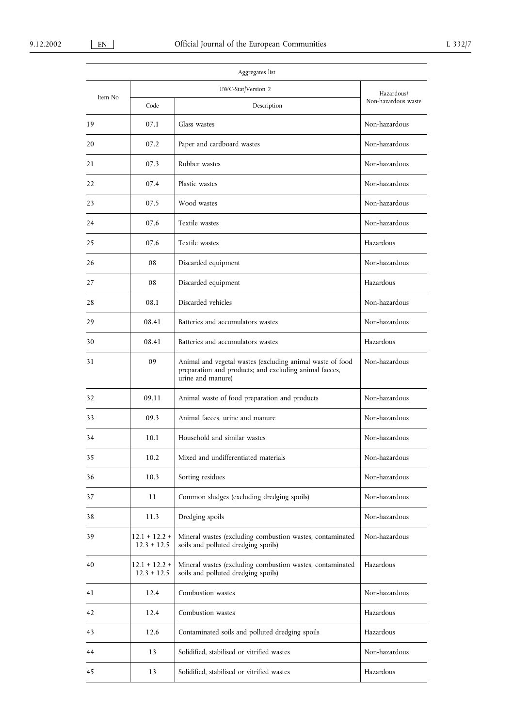|         |                                  | Aggregates list                                                                                                                          |                     |  |
|---------|----------------------------------|------------------------------------------------------------------------------------------------------------------------------------------|---------------------|--|
| Item No |                                  | EWC-Stat/Version 2                                                                                                                       |                     |  |
|         | Code                             | Description                                                                                                                              | Non-hazardous waste |  |
| 19      | 07.1                             | Glass wastes                                                                                                                             | Non-hazardous       |  |
| 20      | 07.2                             | Paper and cardboard wastes                                                                                                               | Non-hazardous       |  |
| 21      | 07.3                             | Rubber wastes                                                                                                                            | Non-hazardous       |  |
| 22      | 07.4                             | Plastic wastes                                                                                                                           | Non-hazardous       |  |
| 23      | 07.5                             | Wood wastes                                                                                                                              | Non-hazardous       |  |
| 24      | 07.6                             | Textile wastes                                                                                                                           | Non-hazardous       |  |
| 25      | 07.6                             | Textile wastes                                                                                                                           | Hazardous           |  |
| 26      | 08                               | Discarded equipment                                                                                                                      | Non-hazardous       |  |
| 27      | 08                               | Discarded equipment                                                                                                                      | Hazardous           |  |
| 28      | 08.1                             | Discarded vehicles                                                                                                                       | Non-hazardous       |  |
| 29      | 08.41                            | Batteries and accumulators wastes                                                                                                        | Non-hazardous       |  |
| 30      | 08.41                            | Batteries and accumulators wastes                                                                                                        | Hazardous           |  |
| 31      | 09                               | Animal and vegetal wastes (excluding animal waste of food<br>preparation and products; and excluding animal faeces,<br>urine and manure) | Non-hazardous       |  |
| 32      | 09.11                            | Animal waste of food preparation and products                                                                                            | Non-hazardous       |  |
| 33      | 09.3                             | Animal faeces, urine and manure                                                                                                          | Non-hazardous       |  |
| 34      | 10.1                             | Household and similar wastes                                                                                                             | Non-hazardous       |  |
| 35      | 10.2                             | Mixed and undifferentiated materials                                                                                                     | Non-hazardous       |  |
| 36      | 10.3                             | Sorting residues                                                                                                                         | Non-hazardous       |  |
| 37      | 11                               | Common sludges (excluding dredging spoils)                                                                                               | Non-hazardous       |  |
| 38      | 11.3                             | Dredging spoils                                                                                                                          | Non-hazardous       |  |
| 39      | $12.1 + 12.2 +$<br>$12.3 + 12.5$ | Mineral wastes (excluding combustion wastes, contaminated<br>soils and polluted dredging spoils)                                         | Non-hazardous       |  |
| 40      | $12.1 + 12.2 +$<br>$12.3 + 12.5$ | Mineral wastes (excluding combustion wastes, contaminated<br>soils and polluted dredging spoils)                                         | Hazardous           |  |
| 41      | 12.4                             | Combustion wastes                                                                                                                        | Non-hazardous       |  |
| 42      | 12.4                             | Combustion wastes                                                                                                                        | Hazardous           |  |
| 43      | 12.6                             | Contaminated soils and polluted dredging spoils                                                                                          | Hazardous           |  |
| 44      | 13                               | Solidified, stabilised or vitrified wastes                                                                                               | Non-hazardous       |  |
| 45      | 13                               | Solidified, stabilised or vitrified wastes                                                                                               | Hazardous           |  |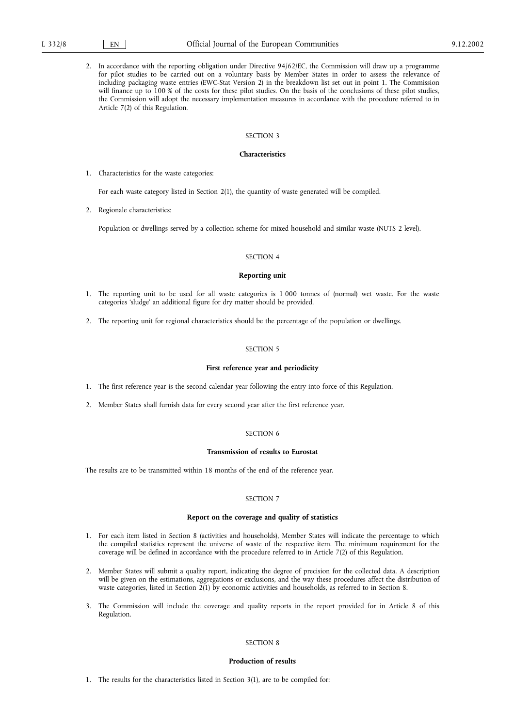2. In accordance with the reporting obligation under Directive 94/62/EC, the Commission will draw up a programme for pilot studies to be carried out on a voluntary basis by Member States in order to assess the relevance of including packaging waste entries (EWC-Stat Version 2) in the breakdown list set out in point 1. The Commission will finance up to 100 % of the costs for these pilot studies. On the basis of the conclusions of these pilot studies, the Commission will adopt the necessary implementation measures in accordance with the procedure referred to in Article 7(2) of this Regulation.

#### SECTION 3

#### Characteristics

1. Characteristics for the waste categories:

For each waste category listed in Section 2(1), the quantity of waste generated will be compiled.

2. Regionale characteristics:

Population or dwellings served by a collection scheme for mixed household and similar waste (NUTS 2 level).

#### SECTION 4

#### Reporting unit

- 1. The reporting unit to be used for all waste categories is 1 000 tonnes of (normal) wet waste. For the waste categories 'sludge' an additional figure for dry matter should be provided.
- 2. The reporting unit for regional characteristics should be the percentage of the population or dwellings.

#### SECTION 5

#### First reference year and periodicity

- 1. The first reference year is the second calendar year following the entry into force of this Regulation.
- 2. Member States shall furnish data for every second year after the first reference year.

#### SECTION 6

#### Transmission of results to Eurostat

The results are to be transmitted within 18 months of the end of the reference year.

#### SECTION 7

#### Report on the coverage and quality of statistics

- 1. For each item listed in Section 8 (activities and households), Member States will indicate the percentage to which the compiled statistics represent the universe of waste of the respective item. The minimum requirement for the coverage will be defined in accordance with the procedure referred to in Article 7(2) of this Regulation.
- 2. Member States will submit a quality report, indicating the degree of precision for the collected data. A description will be given on the estimations, aggregations or exclusions, and the way these procedures affect the distribution of waste categories, listed in Section 2(1) by economic activities and households, as referred to in Section 8.
- 3. The Commission will include the coverage and quality reports in the report provided for in Article 8 of this Regulation.

#### SECTION 8

#### Production of results

1. The results for the characteristics listed in Section 3(1), are to be compiled for: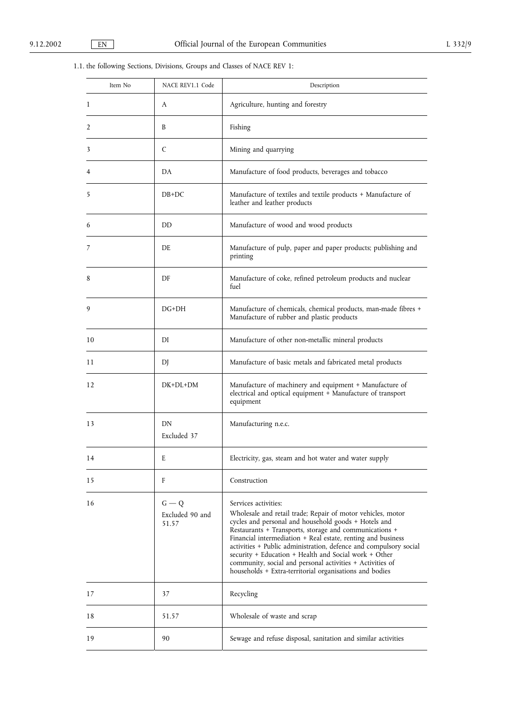# 1.1. the following Sections, Divisions, Groups and Classes of NACE REV 1:

| Item No | NACE REV1.1 Code                    | Description                                                                                                                                                                                                                                                                                                                                                                                                                                                                                                                 |
|---------|-------------------------------------|-----------------------------------------------------------------------------------------------------------------------------------------------------------------------------------------------------------------------------------------------------------------------------------------------------------------------------------------------------------------------------------------------------------------------------------------------------------------------------------------------------------------------------|
| 1       | A                                   | Agriculture, hunting and forestry                                                                                                                                                                                                                                                                                                                                                                                                                                                                                           |
| 2       | B                                   | Fishing                                                                                                                                                                                                                                                                                                                                                                                                                                                                                                                     |
| 3       | C                                   | Mining and quarrying                                                                                                                                                                                                                                                                                                                                                                                                                                                                                                        |
| 4       | DA                                  | Manufacture of food products, beverages and tobacco                                                                                                                                                                                                                                                                                                                                                                                                                                                                         |
| 5       | $DB+DC$                             | Manufacture of textiles and textile products + Manufacture of<br>leather and leather products                                                                                                                                                                                                                                                                                                                                                                                                                               |
| 6       | DD                                  | Manufacture of wood and wood products                                                                                                                                                                                                                                                                                                                                                                                                                                                                                       |
| 7       | DE.                                 | Manufacture of pulp, paper and paper products; publishing and<br>printing                                                                                                                                                                                                                                                                                                                                                                                                                                                   |
| 8       | DF                                  | Manufacture of coke, refined petroleum products and nuclear<br>fuel                                                                                                                                                                                                                                                                                                                                                                                                                                                         |
| 9       | $DG+DH$                             | Manufacture of chemicals, chemical products, man-made fibres +<br>Manufacture of rubber and plastic products                                                                                                                                                                                                                                                                                                                                                                                                                |
| 10      | DI                                  | Manufacture of other non-metallic mineral products                                                                                                                                                                                                                                                                                                                                                                                                                                                                          |
| 11      | DJ                                  | Manufacture of basic metals and fabricated metal products                                                                                                                                                                                                                                                                                                                                                                                                                                                                   |
| 12      | $DK+DL+DM$                          | Manufacture of machinery and equipment + Manufacture of<br>electrical and optical equipment + Manufacture of transport<br>equipment                                                                                                                                                                                                                                                                                                                                                                                         |
| 13      | DN<br>Excluded 37                   | Manufacturing n.e.c.                                                                                                                                                                                                                                                                                                                                                                                                                                                                                                        |
| 14      | E                                   | Electricity, gas, steam and hot water and water supply                                                                                                                                                                                                                                                                                                                                                                                                                                                                      |
| 15      | F                                   | Construction                                                                                                                                                                                                                                                                                                                                                                                                                                                                                                                |
| 16      | $G - Q$<br>Excluded 90 and<br>51.57 | Services activities:<br>Wholesale and retail trade; Repair of motor vehicles, motor<br>cycles and personal and household goods + Hotels and<br>Restaurants + Transports, storage and communications +<br>Financial intermediation + Real estate, renting and business<br>activities + Public administration, defence and compulsory social<br>security + Education + Health and Social work + Other<br>community, social and personal activities + Activities of<br>households + Extra-territorial organisations and bodies |
| 17      | 37                                  | Recycling                                                                                                                                                                                                                                                                                                                                                                                                                                                                                                                   |
| 18      | 51.57                               | Wholesale of waste and scrap                                                                                                                                                                                                                                                                                                                                                                                                                                                                                                |
| 19      | 90                                  | Sewage and refuse disposal, sanitation and similar activities                                                                                                                                                                                                                                                                                                                                                                                                                                                               |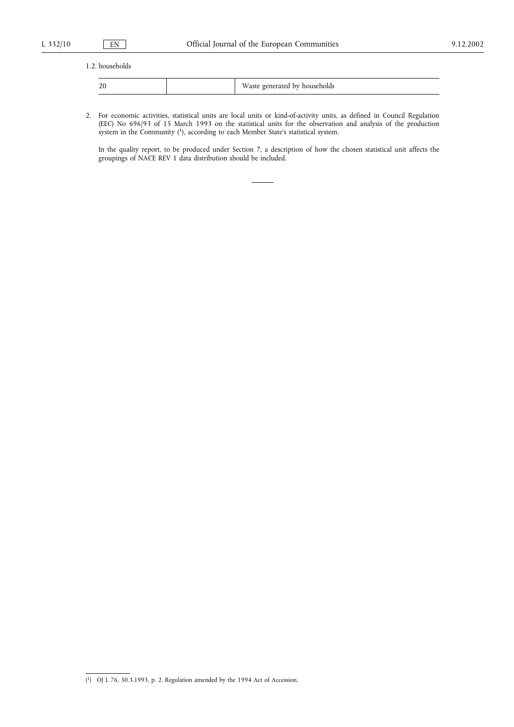### 1.2. households

| $-$ | ÷÷.<br>househ<br>hv<br>senoias<br>F<br>,, ao a<br>------------- |
|-----|-----------------------------------------------------------------|

2. For economic activities, statistical units are local units or kind-of-activity units, as defined in Council Regulation (EEC) No 696/93 of 15 March 1993 on the statistical units for the observation and analysis of the production system in the Community (1), according to each Member State's statistical system.

In the quality report, to be produced under Section 7, a description of how the chosen statistical unit affects the groupings of NACE REV 1 data distribution should be included.

<sup>(</sup> 1) OJ L 76, 30.3.1993, p. 2. Regulation amended by the 1994 Act of Accession.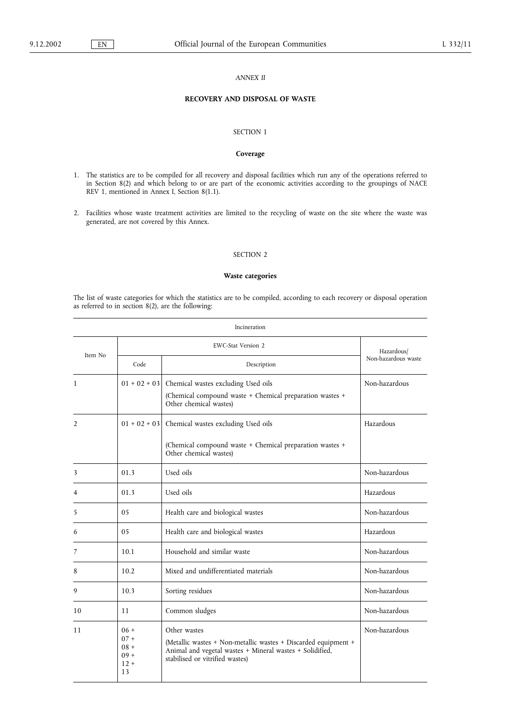#### ANNEX II

# RECOVERY AND DISPOSAL OF WASTE

# SECTION 1

#### Coverage

- 1. The statistics are to be compiled for all recovery and disposal facilities which run any of the operations referred to in Section 8(2) and which belong to or are part of the economic activities according to the groupings of NACE REV 1, mentioned in Annex I, Section 8(1.1).
- 2. Facilities whose waste treatment activities are limited to the recycling of waste on the site where the waste was generated, are not covered by this Annex.

#### SECTION 2

#### Waste categories

The list of waste categories for which the statistics are to be compiled, according to each recovery or disposal operation as referred to in section 8(2), are the following:

| Incineration   |                                                      |                                                                                                                                                                               |                     |  |
|----------------|------------------------------------------------------|-------------------------------------------------------------------------------------------------------------------------------------------------------------------------------|---------------------|--|
| Item No        |                                                      | Hazardous/                                                                                                                                                                    |                     |  |
|                | Code                                                 | Description                                                                                                                                                                   | Non-hazardous waste |  |
| $\mathbf{1}$   |                                                      | $01 + 02 + 03$ Chemical wastes excluding Used oils<br>Non-hazardous<br>(Chemical compound waste + Chemical preparation wastes +<br>Other chemical wastes)                     |                     |  |
| $\overline{2}$ |                                                      | $01 + 02 + 03$ Chemical wastes excluding Used oils<br>(Chemical compound waste + Chemical preparation wastes +<br>Other chemical wastes)                                      | Hazardous           |  |
| 3              | 01.3                                                 | Used oils                                                                                                                                                                     | Non-hazardous       |  |
| 4              | 01.3                                                 | Used oils                                                                                                                                                                     | Hazardous           |  |
| 5              | 05                                                   | Health care and biological wastes                                                                                                                                             | Non-hazardous       |  |
| 6              | 05                                                   | Health care and biological wastes                                                                                                                                             | Hazardous           |  |
| 7              | 10.1                                                 | Household and similar waste                                                                                                                                                   | Non-hazardous       |  |
| 8              | 10.2                                                 | Mixed and undifferentiated materials                                                                                                                                          | Non-hazardous       |  |
| 9              | 10.3                                                 | Sorting residues                                                                                                                                                              | Non-hazardous       |  |
| 10             | 11                                                   | Common sludges                                                                                                                                                                | Non-hazardous       |  |
| 11             | $06 +$<br>$07 +$<br>$08 +$<br>$09 +$<br>$12 +$<br>13 | Other wastes<br>(Metallic wastes + Non-metallic wastes + Discarded equipment +<br>Animal and vegetal wastes + Mineral wastes + Solidified,<br>stabilised or vitrified wastes) | Non-hazardous       |  |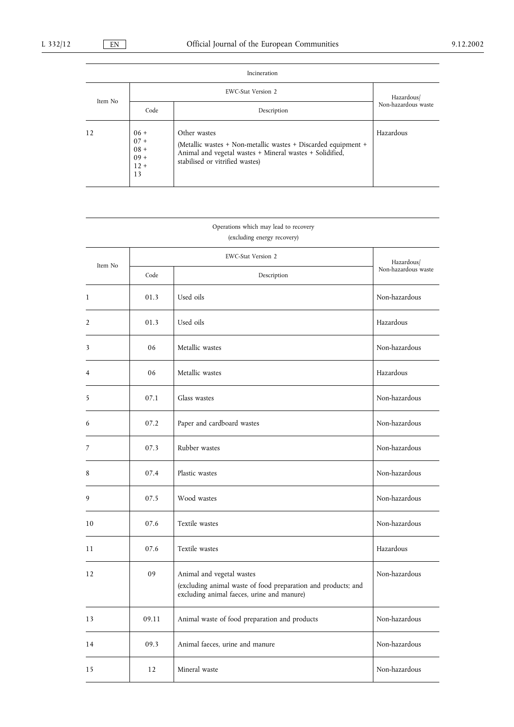| Incineration |                                                      |                                                                                                                                                                               |                     |  |
|--------------|------------------------------------------------------|-------------------------------------------------------------------------------------------------------------------------------------------------------------------------------|---------------------|--|
| Item No      |                                                      | Hazardous/                                                                                                                                                                    |                     |  |
|              | Code                                                 | Description                                                                                                                                                                   | Non-hazardous waste |  |
| 12           | $06 +$<br>$07 +$<br>$08 +$<br>$09 +$<br>$12 +$<br>13 | Other wastes<br>(Metallic wastes + Non-metallic wastes + Discarded equipment +<br>Animal and vegetal wastes + Mineral wastes + Solidified,<br>stabilised or vitrified wastes) | Hazardous           |  |

# Operations which may lead to recovery (excluding energy recovery)

|                |       | Hazardous/                                                                                                                               |                     |
|----------------|-------|------------------------------------------------------------------------------------------------------------------------------------------|---------------------|
| Item No        | Code  | Description                                                                                                                              | Non-hazardous waste |
| $\mathbf{1}$   | 01.3  | Used oils                                                                                                                                | Non-hazardous       |
| $\overline{2}$ | 01.3  | Used oils                                                                                                                                | Hazardous           |
| 3              | 06    | Metallic wastes                                                                                                                          | Non-hazardous       |
| $\overline{4}$ | 06    | Metallic wastes                                                                                                                          | Hazardous           |
| 5              | 07.1  | Glass wastes                                                                                                                             | Non-hazardous       |
| 6              | 07.2  | Paper and cardboard wastes                                                                                                               | Non-hazardous       |
| 7              | 07.3  | Rubber wastes                                                                                                                            | Non-hazardous       |
| 8              | 07.4  | Plastic wastes                                                                                                                           | Non-hazardous       |
| 9              | 07.5  | Wood wastes                                                                                                                              | Non-hazardous       |
| 10             | 07.6  | Textile wastes                                                                                                                           | Non-hazardous       |
| 11             | 07.6  | Textile wastes                                                                                                                           | Hazardous           |
| 12             | 09    | Animal and vegetal wastes<br>(excluding animal waste of food preparation and products; and<br>excluding animal faeces, urine and manure) | Non-hazardous       |
| 13             | 09.11 | Animal waste of food preparation and products                                                                                            | Non-hazardous       |
| 14             | 09.3  | Animal faeces, urine and manure                                                                                                          | Non-hazardous       |
| 15             | 12    | Mineral waste                                                                                                                            | Non-hazardous       |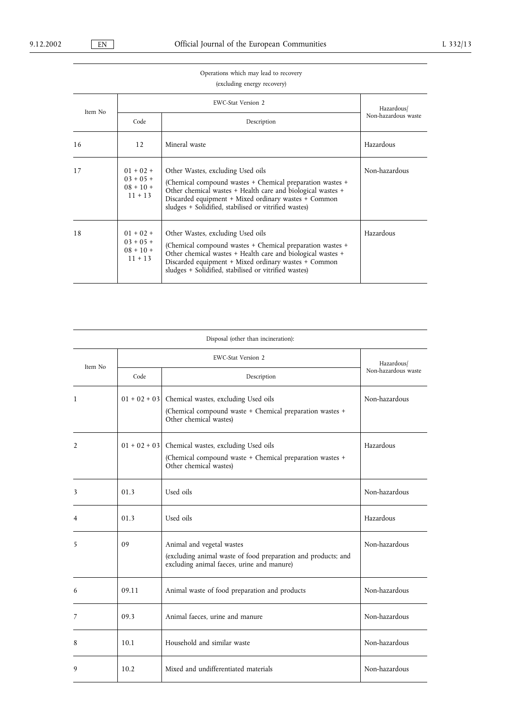# Operations which may lead to recovery (excluding energy recovery)

| Item No |                                                        | Hazardous/                                                                                                                                                                                                                                                                     |                     |
|---------|--------------------------------------------------------|--------------------------------------------------------------------------------------------------------------------------------------------------------------------------------------------------------------------------------------------------------------------------------|---------------------|
|         | Code                                                   | Description                                                                                                                                                                                                                                                                    | Non-hazardous waste |
| 16      | 12                                                     | Mineral waste                                                                                                                                                                                                                                                                  | Hazardous           |
| 17      | $01 + 02 +$<br>$03 + 05 +$<br>$08 + 10 +$<br>$11 + 13$ | Other Wastes, excluding Used oils<br>(Chemical compound wastes + Chemical preparation wastes +<br>Other chemical wastes + Health care and biological wastes +<br>Discarded equipment + Mixed ordinary wastes + Common<br>sludges + Solidified, stabilised or vitrified wastes) | Non-hazardous       |
| 18      | $01 + 02 +$<br>$03 + 05 +$<br>$08 + 10 +$<br>$11 + 13$ | Other Wastes, excluding Used oils<br>(Chemical compound wastes + Chemical preparation wastes +<br>Other chemical wastes + Health care and biological wastes +<br>Discarded equipment + Mixed ordinary wastes + Common<br>sludges + Solidified, stabilised or vitrified wastes) | Hazardous           |

| Disposal (other than incineration): |       |                                                                                                                                           |                     |  |  |
|-------------------------------------|-------|-------------------------------------------------------------------------------------------------------------------------------------------|---------------------|--|--|
| Item No                             |       | Hazardous/                                                                                                                                |                     |  |  |
|                                     | Code  | Description                                                                                                                               | Non-hazardous waste |  |  |
| $\mathbf{1}$                        |       | $01 + 02 + 03$ Chemical wastes, excluding Used oils<br>(Chemical compound waste + Chemical preparation wastes +<br>Other chemical wastes) | Non-hazardous       |  |  |
| $\overline{2}$                      |       | $01 + 02 + 03$ Chemical wastes, excluding Used oils<br>(Chemical compound waste + Chemical preparation wastes +<br>Other chemical wastes) | Hazardous           |  |  |
| 3                                   | 01.3  | Used oils                                                                                                                                 | Non-hazardous       |  |  |
| $\overline{4}$                      | 01.3  | Used oils                                                                                                                                 | Hazardous           |  |  |
| 5                                   | 09    | Animal and vegetal wastes<br>(excluding animal waste of food preparation and products; and<br>excluding animal faeces, urine and manure)  | Non-hazardous       |  |  |
| 6                                   | 09.11 | Animal waste of food preparation and products                                                                                             | Non-hazardous       |  |  |
| 7                                   | 09.3  | Animal faeces, urine and manure                                                                                                           | Non-hazardous       |  |  |
| 8                                   | 10.1  | Household and similar waste                                                                                                               | Non-hazardous       |  |  |
| 9                                   | 10.2  | Mixed and undifferentiated materials                                                                                                      | Non-hazardous       |  |  |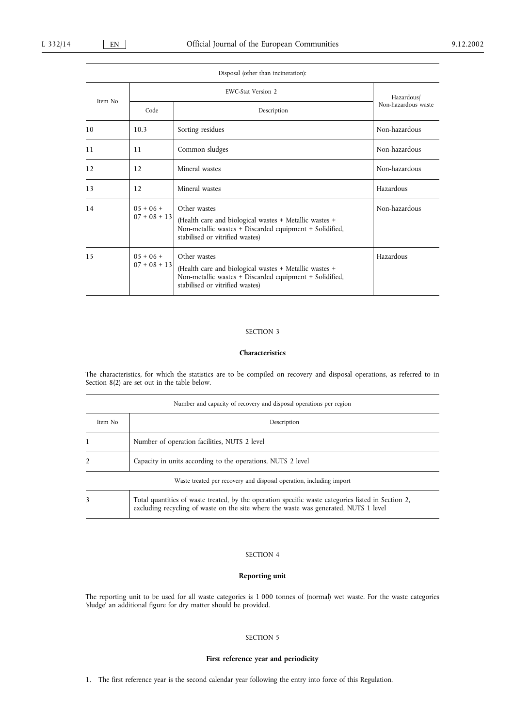|         |                               | Disposal (other than incineration):                                                                                                                                  |                                   |  |
|---------|-------------------------------|----------------------------------------------------------------------------------------------------------------------------------------------------------------------|-----------------------------------|--|
| Item No |                               | EWC-Stat Version 2                                                                                                                                                   |                                   |  |
|         | Code                          | Description                                                                                                                                                          | Hazardous/<br>Non-hazardous waste |  |
| 10      | 10.3                          | Sorting residues                                                                                                                                                     | Non-hazardous                     |  |
| 11      | 11                            | Common sludges                                                                                                                                                       | Non-hazardous                     |  |
| 12      | 12                            | Mineral wastes                                                                                                                                                       | Non-hazardous                     |  |
| 13      | 12                            | Mineral wastes                                                                                                                                                       | Hazardous                         |  |
| 14      | $05 + 06 +$<br>$07 + 08 + 13$ | Other wastes<br>(Health care and biological wastes + Metallic wastes +<br>Non-metallic wastes + Discarded equipment + Solidified,<br>stabilised or vitrified wastes) | Non-hazardous                     |  |
| 15      | $05 + 06 +$<br>$07 + 08 + 13$ | Other wastes<br>(Health care and biological wastes + Metallic wastes +<br>Non-metallic wastes + Discarded equipment + Solidified,<br>stabilised or vitrified wastes) | Hazardous                         |  |

## SECTION 3

#### Characteristics

The characteristics, for which the statistics are to be compiled on recovery and disposal operations, as referred to in Section 8(2) are set out in the table below.

| Number and capacity of recovery and disposal operations per region |                                                                                                                                                                                            |  |  |
|--------------------------------------------------------------------|--------------------------------------------------------------------------------------------------------------------------------------------------------------------------------------------|--|--|
| Item No                                                            | Description                                                                                                                                                                                |  |  |
|                                                                    | Number of operation facilities, NUTS 2 level                                                                                                                                               |  |  |
| $\mathfrak{D}$                                                     | Capacity in units according to the operations, NUTS 2 level                                                                                                                                |  |  |
|                                                                    | Waste treated per recovery and disposal operation, including import                                                                                                                        |  |  |
| 3                                                                  | Total quantities of waste treated, by the operation specific waste categories listed in Section 2,<br>excluding recycling of waste on the site where the waste was generated, NUTS 1 level |  |  |

# SECTION 4

# Reporting unit

The reporting unit to be used for all waste categories is 1 000 tonnes of (normal) wet waste. For the waste categories 'sludge' an additional figure for dry matter should be provided.

# SECTION 5

# First reference year and periodicity

1. The first reference year is the second calendar year following the entry into force of this Regulation.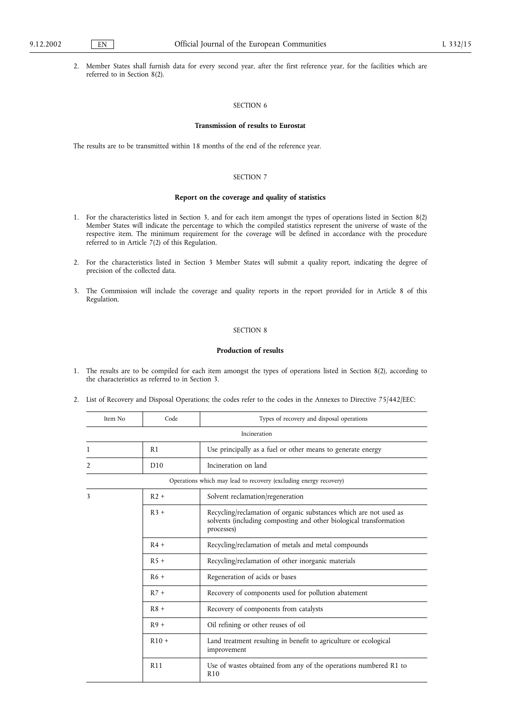2. Member States shall furnish data for every second year, after the first reference year, for the facilities which are referred to in Section 8(2).

# SECTION 6

#### Transmission of results to Eurostat

The results are to be transmitted within 18 months of the end of the reference year.

#### SECTION 7

# Report on the coverage and quality of statistics

- 1. For the characteristics listed in Section 3, and for each item amongst the types of operations listed in Section 8(2) Member States will indicate the percentage to which the compiled statistics represent the universe of waste of the respective item. The minimum requirement for the coverage will be defined in accordance with the procedure referred to in Article 7(2) of this Regulation.
- 2. For the characteristics listed in Section 3 Member States will submit a quality report, indicating the degree of precision of the collected data.
- 3. The Commission will include the coverage and quality reports in the report provided for in Article 8 of this Regulation.

# SECTION 8

#### Production of results

- 1. The results are to be compiled for each item amongst the types of operations listed in Section 8(2), according to the characteristics as referred to in Section 3.
- 2. List of Recovery and Disposal Operations; the codes refer to the codes in the Annexes to Directive 75/442/EEC:

| Item No | Code            | Types of recovery and disposal operations                                                                                                             |
|---------|-----------------|-------------------------------------------------------------------------------------------------------------------------------------------------------|
|         |                 | Incineration                                                                                                                                          |
| 1       | R1              | Use principally as a fuel or other means to generate energy                                                                                           |
| 2       | D10             | Incineration on land                                                                                                                                  |
|         |                 | Operations which may lead to recovery (excluding energy recovery)                                                                                     |
| 3       | $R2 +$          | Solvent reclamation/regeneration                                                                                                                      |
|         | $R3 +$          | Recycling/reclamation of organic substances which are not used as<br>solvents (including composting and other biological transformation<br>processes) |
|         | $R4 +$          | Recycling/reclamation of metals and metal compounds                                                                                                   |
|         | $R5+$           | Recycling/reclamation of other inorganic materials                                                                                                    |
|         | $R6 +$          | Regeneration of acids or bases                                                                                                                        |
|         | $R7 +$          | Recovery of components used for pollution abatement                                                                                                   |
|         | $R8 +$          | Recovery of components from catalysts                                                                                                                 |
|         | $R9+$           | Oil refining or other reuses of oil                                                                                                                   |
|         | $R10 +$         | Land treatment resulting in benefit to agriculture or ecological<br>improvement                                                                       |
|         | R <sub>11</sub> | Use of wastes obtained from any of the operations numbered R1 to<br>R <sub>10</sub>                                                                   |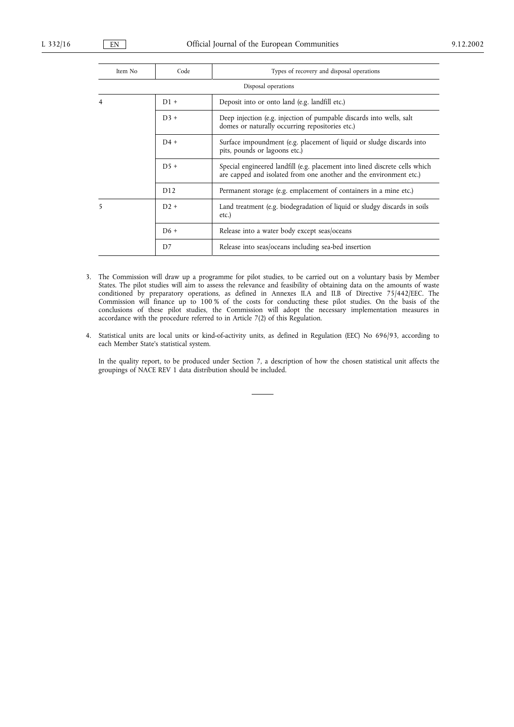| Item No             | Code   | Types of recovery and disposal operations                                                                                                         |  |  |
|---------------------|--------|---------------------------------------------------------------------------------------------------------------------------------------------------|--|--|
| Disposal operations |        |                                                                                                                                                   |  |  |
| 4                   | $D1 +$ | Deposit into or onto land (e.g. landfill etc.)                                                                                                    |  |  |
|                     | $D3 +$ | Deep injection (e.g. injection of pumpable discards into wells, salt<br>domes or naturally occurring repositories etc.)                           |  |  |
|                     | $D4 +$ | Surface impoundment (e.g. placement of liquid or sludge discards into<br>pits, pounds or lagoons etc.)                                            |  |  |
|                     | $D5+$  | Special engineered landfill (e.g. placement into lined discrete cells which<br>are capped and isolated from one another and the environment etc.) |  |  |
|                     | D12    | Permanent storage (e.g. emplacement of containers in a mine etc.)                                                                                 |  |  |
| 5                   | $D2 +$ | Land treatment (e.g. biodegradation of liquid or sludgy discards in soils<br>$etc.$ )                                                             |  |  |
|                     | $D6 +$ | Release into a water body except seas/oceans                                                                                                      |  |  |
|                     | D7     | Release into seas/oceans including sea-bed insertion                                                                                              |  |  |

- 3. The Commission will draw up a programme for pilot studies, to be carried out on a voluntary basis by Member States. The pilot studies will aim to assess the relevance and feasibility of obtaining data on the amounts of waste conditioned by preparatory operations, as defined in Annexes II.A and II.B of Directive 75/442/EEC. The Commission will finance up to 100 % of the costs for conducting these pilot studies. On the basis of the conclusions of these pilot studies, the Commission will adopt the necessary implementation measures in accordance with the procedure referred to in Article 7(2) of this Regulation.
- 4. Statistical units are local units or kind-of-activity units, as defined in Regulation (EEC) No 696/93, according to each Member State's statistical system.

In the quality report, to be produced under Section 7, a description of how the chosen statistical unit affects the groupings of NACE REV 1 data distribution should be included.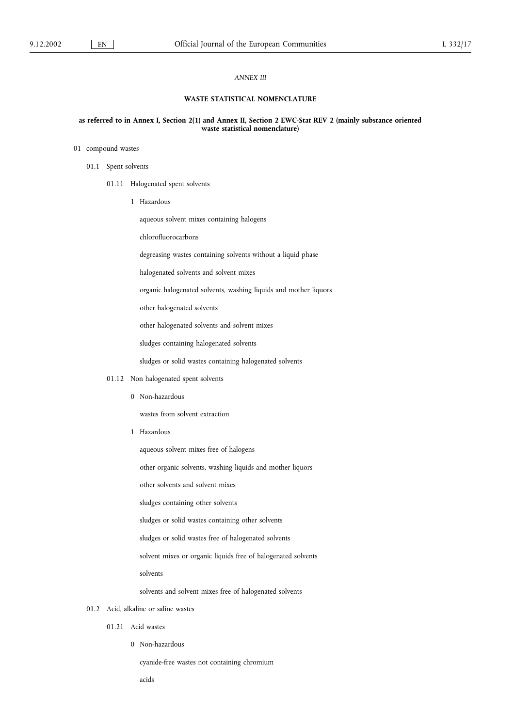## ANNEX III

# WASTE STATISTICAL NOMENCLATURE

#### as referred to in Annex I, Section 2(1) and Annex II, Section 2 EWC-Stat REV 2 (mainly substance oriented waste statistical nomenclature)

# 01 compound wastes

- 01.1 Spent solvents
	- 01.11 Halogenated spent solvents
		- 1 Hazardous

aqueous solvent mixes containing halogens

chlorofluorocarbons

degreasing wastes containing solvents without a liquid phase

halogenated solvents and solvent mixes

organic halogenated solvents, washing liquids and mother liquors

other halogenated solvents

other halogenated solvents and solvent mixes

sludges containing halogenated solvents

sludges or solid wastes containing halogenated solvents

- 01.12 Non halogenated spent solvents
	- 0 Non-hazardous

wastes from solvent extraction

1 Hazardous

aqueous solvent mixes free of halogens

other organic solvents, washing liquids and mother liquors

other solvents and solvent mixes

sludges containing other solvents

sludges or solid wastes containing other solvents

sludges or solid wastes free of halogenated solvents

solvent mixes or organic liquids free of halogenated solvents

solvents

solvents and solvent mixes free of halogenated solvents

# 01.2 Acid, alkaline or saline wastes

- 01.21 Acid wastes
	- 0 Non-hazardous

cyanide-free wastes not containing chromium

acids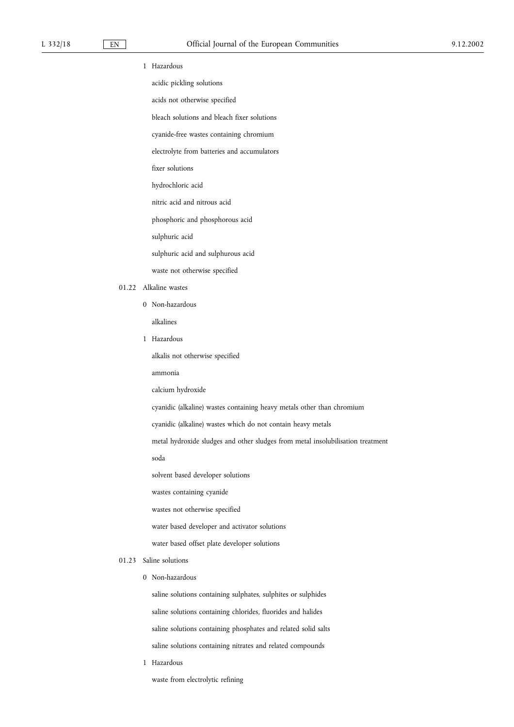- 1 Hazardous
	- acidic pickling solutions
	- acids not otherwise specified
	- bleach solutions and bleach fixer solutions
	- cyanide-free wastes containing chromium
	- electrolyte from batteries and accumulators
	- fixer solutions
	- hydrochloric acid
	- nitric acid and nitrous acid
	- phosphoric and phosphorous acid
	- sulphuric acid
	- sulphuric acid and sulphurous acid
	- waste not otherwise specified
- 01.22 Alkaline wastes
	- 0 Non-hazardous
		- alkalines
	- 1 Hazardous

alkalis not otherwise specified

ammonia

- calcium hydroxide
- cyanidic (alkaline) wastes containing heavy metals other than chromium
- cyanidic (alkaline) wastes which do not contain heavy metals
- metal hydroxide sludges and other sludges from metal insolubilisation treatment

soda

- solvent based developer solutions
- wastes containing cyanide
- wastes not otherwise specified
- water based developer and activator solutions
- water based offset plate developer solutions

# 01.23 Saline solutions

0 Non-hazardous

saline solutions containing sulphates, sulphites or sulphides saline solutions containing chlorides, fluorides and halides saline solutions containing phosphates and related solid salts saline solutions containing nitrates and related compounds

- 1 Hazardous
	- waste from electrolytic refining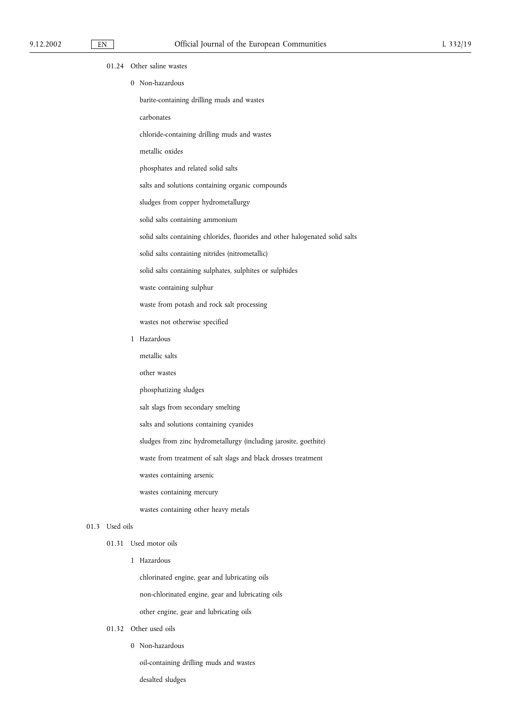01.24 Other saline wastes 0 Non-hazardous barite-containing drilling muds and wastes carbonates chloride-containing drilling muds and wastes metallic oxides phosphates and related solid salts salts and solutions containing organic compounds sludges from copper hydrometallurgy solid salts containing ammonium solid salts containing chlorides, fluorides and other halogenated solid salts solid salts containing nitrides (nitrometallic) solid salts containing sulphates, sulphites or sulphides waste containing sulphur waste from potash and rock salt processing wastes not otherwise specified 1 Hazardous metallic salts other wastes phosphatizing sludges salt slags from secondary smelting salts and solutions containing cyanides sludges from zinc hydrometallurgy (including jarosite, goethite) waste from treatment of salt slags and black drosses treatment wastes containing arsenic wastes containing mercury wastes containing other heavy metals 01.3 Used oils 01.31 Used motor oils 1 Hazardous chlorinated engine, gear and lubricating oils non-chlorinated engine, gear and lubricating oils other engine, gear and lubricating oils 01.32 Other used oils

0 Non-hazardous

oil-containing drilling muds and wastes

desalted sludges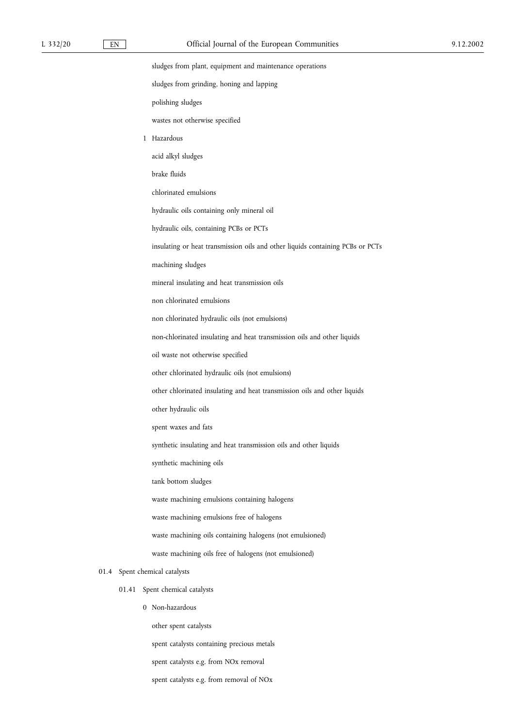sludges from plant, equipment and maintenance operations

sludges from grinding, honing and lapping

polishing sludges

wastes not otherwise specified

1 Hazardous

acid alkyl sludges

brake fluids

chlorinated emulsions

hydraulic oils containing only mineral oil

hydraulic oils, containing PCBs or PCTs

insulating or heat transmission oils and other liquids containing PCBs or PCTs

machining sludges

mineral insulating and heat transmission oils

non chlorinated emulsions

non chlorinated hydraulic oils (not emulsions)

non-chlorinated insulating and heat transmission oils and other liquids

oil waste not otherwise specified

other chlorinated hydraulic oils (not emulsions)

other chlorinated insulating and heat transmission oils and other liquids

other hydraulic oils

spent waxes and fats

synthetic insulating and heat transmission oils and other liquids

synthetic machining oils

tank bottom sludges

waste machining emulsions containing halogens

waste machining emulsions free of halogens

waste machining oils containing halogens (not emulsioned)

waste machining oils free of halogens (not emulsioned)

#### 01.4 Spent chemical catalysts

- 01.41 Spent chemical catalysts
	- 0 Non-hazardous

other spent catalysts

spent catalysts containing precious metals

spent catalysts e.g. from NOx removal

spent catalysts e.g. from removal of NOx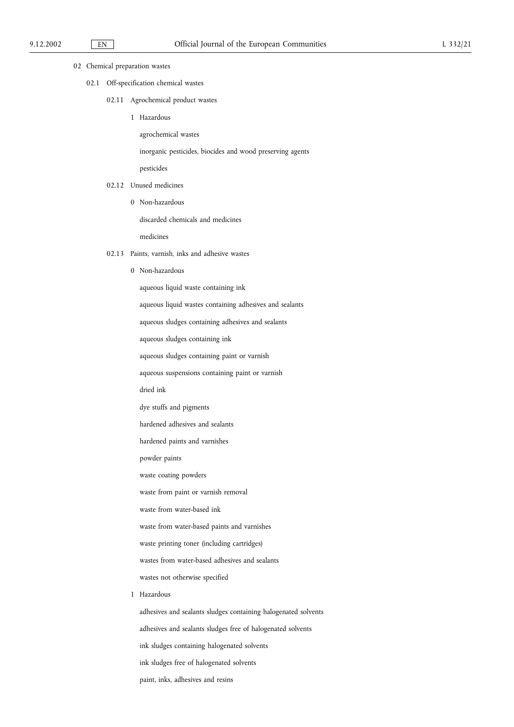|  | 02 Chemical preparation wastes |
|--|--------------------------------|
|--|--------------------------------|

- 02.1 Off-specification chemical wastes
	- 02.11 Agrochemical product wastes
		- 1 Hazardous

agrochemical wastes

inorganic pesticides, biocides and wood preserving agents

pesticides

- 02.12 Unused medicines
	- 0 Non-hazardous

discarded chemicals and medicines

medicines

# 02.13 Paints, varnish, inks and adhesive wastes

- 0 Non-hazardous
	- aqueous liquid waste containing ink
	- aqueous liquid wastes containing adhesives and sealants
	- aqueous sludges containing adhesives and sealants
	- aqueous sludges containing ink
	- aqueous sludges containing paint or varnish
	- aqueous suspensions containing paint or varnish
	- dried ink
	- dye stuffs and pigments
	- hardened adhesives and sealants
	- hardened paints and varnishes
	- powder paints
	- waste coating powders
	- waste from paint or varnish removal
	- waste from water-based ink
	- waste from water-based paints and varnishes
	- waste printing toner (including cartridges)
	- wastes from water-based adhesives and sealants
	- wastes not otherwise specified
- 1 Hazardous

adhesives and sealants sludges containing halogenated solvents adhesives and sealants sludges free of halogenated solvents ink sludges containing halogenated solvents ink sludges free of halogenated solvents paint, inks, adhesives and resins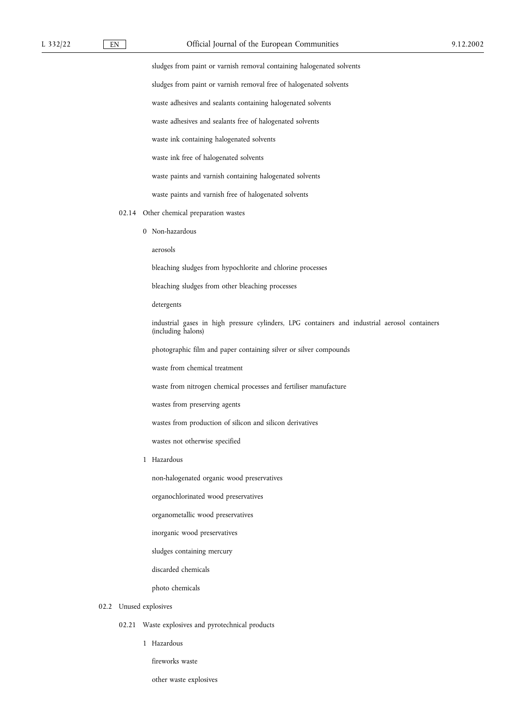# L 332/22 EN Official Journal of the European Communities 9.12.2002

sludges from paint or varnish removal containing halogenated solvents sludges from paint or varnish removal free of halogenated solvents waste adhesives and sealants containing halogenated solvents waste adhesives and sealants free of halogenated solvents waste ink containing halogenated solvents waste ink free of halogenated solvents waste paints and varnish containing halogenated solvents waste paints and varnish free of halogenated solvents 02.14 Other chemical preparation wastes 0 Non-hazardous aerosols bleaching sludges from hypochlorite and chlorine processes bleaching sludges from other bleaching processes detergents industrial gases in high pressure cylinders, LPG containers and industrial aerosol containers (including halons) photographic film and paper containing silver or silver compounds waste from chemical treatment waste from nitrogen chemical processes and fertiliser manufacture wastes from preserving agents wastes from production of silicon and silicon derivatives wastes not otherwise specified 1 Hazardous non-halogenated organic wood preservatives organochlorinated wood preservatives organometallic wood preservatives inorganic wood preservatives sludges containing mercury discarded chemicals photo chemicals

02.2 Unused explosives

- 02.21 Waste explosives and pyrotechnical products
	- 1 Hazardous

fireworks waste

other waste explosives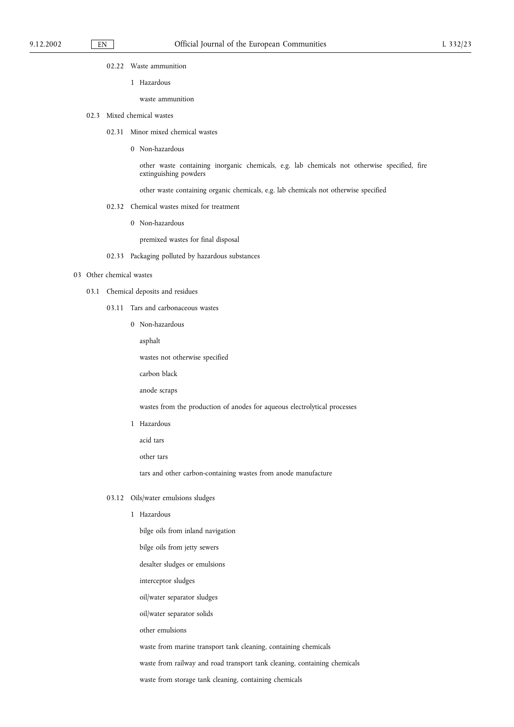02.22 Waste ammunition

1 Hazardous

waste ammunition

#### 02.3 Mixed chemical wastes

- 02.31 Minor mixed chemical wastes
	- 0 Non-hazardous

other waste containing inorganic chemicals, e.g. lab chemicals not otherwise specified, fire extinguishing powders

other waste containing organic chemicals, e.g. lab chemicals not otherwise specified

- 02.32 Chemical wastes mixed for treatment
	- 0 Non-hazardous

premixed wastes for final disposal

02.33 Packaging polluted by hazardous substances

#### 03 Other chemical wastes

- 03.1 Chemical deposits and residues
	- 03.11 Tars and carbonaceous wastes
		- 0 Non-hazardous

asphalt

wastes not otherwise specified

carbon black

anode scraps

wastes from the production of anodes for aqueous electrolytical processes

1 Hazardous

acid tars

other tars

tars and other carbon-containing wastes from anode manufacture

#### 03.12 Oils/water emulsions sludges

- 1 Hazardous
	- bilge oils from inland navigation
	- bilge oils from jetty sewers
	- desalter sludges or emulsions
	- interceptor sludges
	- oil/water separator sludges
	- oil/water separator solids
	- other emulsions

waste from marine transport tank cleaning, containing chemicals

waste from railway and road transport tank cleaning, containing chemicals

waste from storage tank cleaning, containing chemicals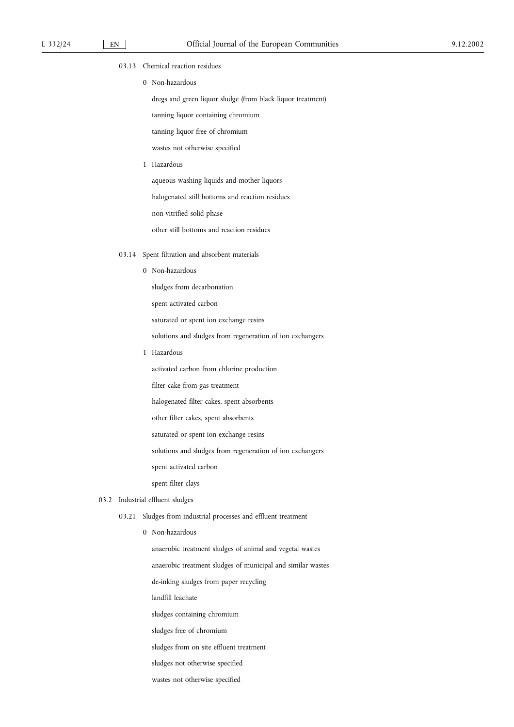- 03.13 Chemical reaction residues
	- 0 Non-hazardous

dregs and green liquor sludge (from black liquor treatment) tanning liquor containing chromium

tanning liquor free of chromium

wastes not otherwise specified

1 Hazardous

aqueous washing liquids and mother liquors

halogenated still bottoms and reaction residues

non-vitrified solid phase

other still bottoms and reaction residues

- 03.14 Spent filtration and absorbent materials
	- 0 Non-hazardous

sludges from decarbonation

spent activated carbon

saturated or spent ion exchange resins

solutions and sludges from regeneration of ion exchangers

1 Hazardous

activated carbon from chlorine production

filter cake from gas treatment

halogenated filter cakes, spent absorbents

other filter cakes, spent absorbents

saturated or spent ion exchange resins

solutions and sludges from regeneration of ion exchangers

spent activated carbon

spent filter clays

# 03.2 Industrial effluent sludges

- 03.21 Sludges from industrial processes and effluent treatment
	- 0 Non-hazardous

anaerobic treatment sludges of animal and vegetal wastes

anaerobic treatment sludges of municipal and similar wastes

de-inking sludges from paper recycling

landfill leachate

sludges containing chromium

sludges free of chromium

sludges from on site effluent treatment

sludges not otherwise specified

wastes not otherwise specified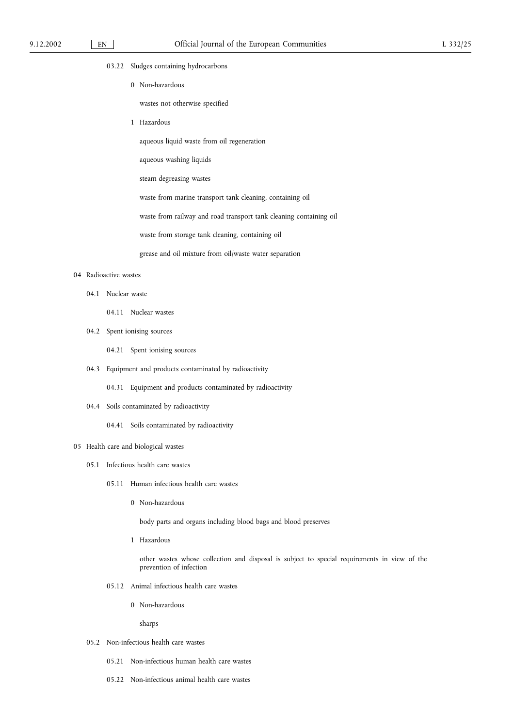- 03.22 Sludges containing hydrocarbons
	- 0 Non-hazardous
		- wastes not otherwise specified
	- 1 Hazardous
		- aqueous liquid waste from oil regeneration
		- aqueous washing liquids
		- steam degreasing wastes
		- waste from marine transport tank cleaning, containing oil

waste from railway and road transport tank cleaning containing oil

- waste from storage tank cleaning, containing oil
- grease and oil mixture from oil/waste water separation

#### 04 Radioactive wastes

- 04.1 Nuclear waste
	- 04.11 Nuclear wastes
- 04.2 Spent ionising sources
	- 04.21 Spent ionising sources
- 04.3 Equipment and products contaminated by radioactivity
	- 04.31 Equipment and products contaminated by radioactivity
- 04.4 Soils contaminated by radioactivity
	- 04.41 Soils contaminated by radioactivity

# 05 Health care and biological wastes

- 05.1 Infectious health care wastes
	- 05.11 Human infectious health care wastes
		- 0 Non-hazardous

body parts and organs including blood bags and blood preserves

1 Hazardous

other wastes whose collection and disposal is subject to special requirements in view of the prevention of infection

- 05.12 Animal infectious health care wastes
	- 0 Non-hazardous

sharps

- 05.2 Non-infectious health care wastes
	- 05.21 Non-infectious human health care wastes
	- 05.22 Non-infectious animal health care wastes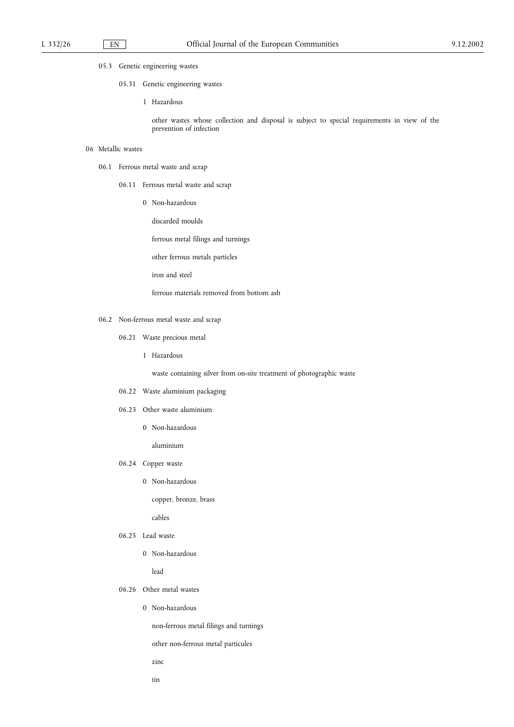# 05.3 Genetic engineering wastes

- 05.31 Genetic engineering wastes
	- 1 Hazardous

other wastes whose collection and disposal is subject to special requirements in view of the prevention of infection

# 06 Metallic wastes

- 06.1 Ferrous metal waste and scrap
	- 06.11 Ferrous metal waste and scrap
		- 0 Non-hazardous

discarded moulds

ferrous metal filings and turnings

other ferrous metals particles

iron and steel

ferrous materials removed from bottom ash

- 06.2 Non-ferrous metal waste and scrap
	- 06.21 Waste precious metal
		- 1 Hazardous

waste containing silver from on-site treatment of photographic waste

- 06.22 Waste aluminium packaging
- 06.23 Other waste aluminium
	- 0 Non-hazardous

aluminium

- 06.24 Copper waste
	- 0 Non-hazardous

copper, bronze, brass

cables

- 06.25 Lead waste
	- 0 Non-hazardous

lead

- 06.26 Other metal wastes
	- 0 Non-hazardous

non-ferrous metal filings and turnings

other non-ferrous metal particules

- zinc
- tin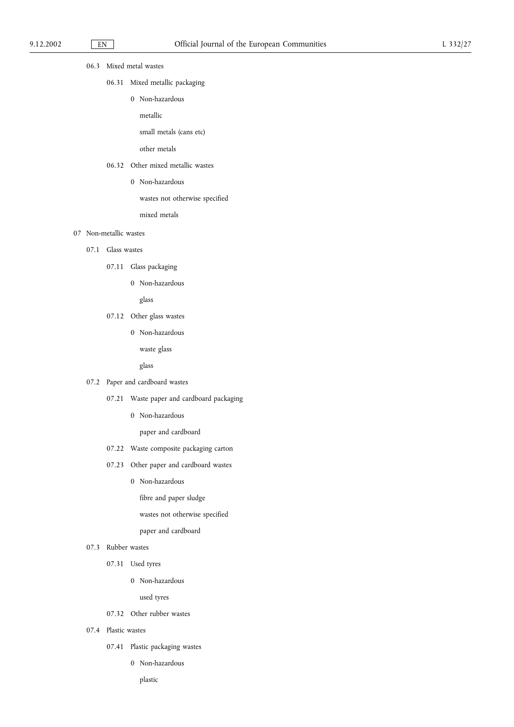# 06.3 Mixed metal wastes

- 06.31 Mixed metallic packaging
	- 0 Non-hazardous
		- metallic

small metals (cans etc)

other metals

# 06.32 Other mixed metallic wastes

0 Non-hazardous

wastes not otherwise specified

mixed metals

# 07 Non-metallic wastes

- 07.1 Glass wastes
	- 07.11 Glass packaging
		- 0 Non-hazardous

glass

- 07.12 Other glass wastes
	- 0 Non-hazardous

waste glass

glass

- 07.2 Paper and cardboard wastes
	- 07.21 Waste paper and cardboard packaging
		- 0 Non-hazardous

paper and cardboard

- 07.22 Waste composite packaging carton
- 07.23 Other paper and cardboard wastes
	- 0 Non-hazardous

fibre and paper sludge

wastes not otherwise specified

paper and cardboard

- 07.3 Rubber wastes
	- 07.31 Used tyres
		- 0 Non-hazardous

used tyres

- 07.32 Other rubber wastes
- 07.4 Plastic wastes
	- 07.41 Plastic packaging wastes
		- 0 Non-hazardous
			- plastic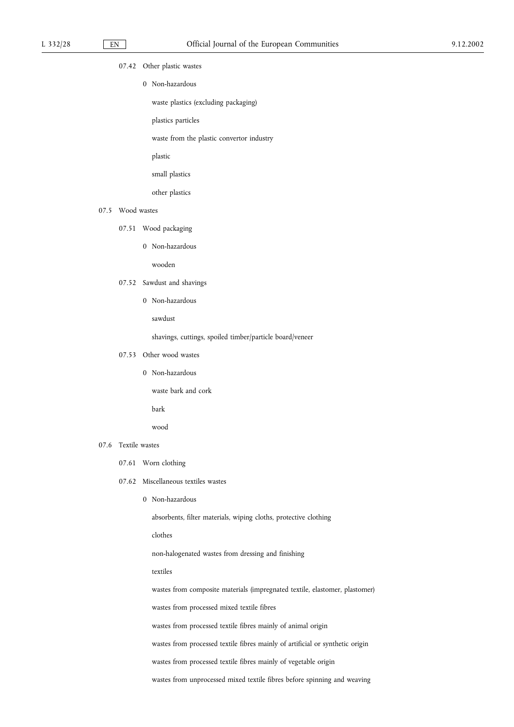- 07.42 Other plastic wastes
	- 0 Non-hazardous
		- waste plastics (excluding packaging)
		- plastics particles
		- waste from the plastic convertor industry
		- plastic
		- small plastics
		- other plastics

#### 07.5 Wood wastes

- 07.51 Wood packaging
	- 0 Non-hazardous

wooden

- 07.52 Sawdust and shavings
	- 0 Non-hazardous

sawdust

shavings, cuttings, spoiled timber/particle board/veneer

- 07.53 Other wood wastes
	- 0 Non-hazardous

waste bark and cork

bark

wood

#### 07.6 Textile wastes

- 07.61 Worn clothing
- 07.62 Miscellaneous textiles wastes
	- 0 Non-hazardous

absorbents, filter materials, wiping cloths, protective clothing

clothes

non-halogenated wastes from dressing and finishing

textiles

wastes from composite materials (impregnated textile, elastomer, plastomer)

wastes from processed mixed textile fibres

wastes from processed textile fibres mainly of animal origin

wastes from processed textile fibres mainly of artificial or synthetic origin

wastes from processed textile fibres mainly of vegetable origin

wastes from unprocessed mixed textile fibres before spinning and weaving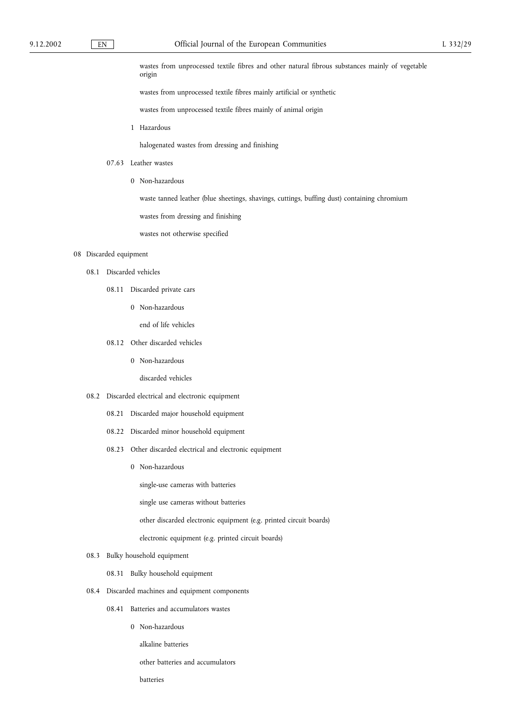wastes from unprocessed textile fibres and other natural fibrous substances mainly of vegetable origin

wastes from unprocessed textile fibres mainly artificial or synthetic

wastes from unprocessed textile fibres mainly of animal origin

1 Hazardous

halogenated wastes from dressing and finishing

- 07.63 Leather wastes
	- 0 Non-hazardous

waste tanned leather (blue sheetings, shavings, cuttings, buffing dust) containing chromium

wastes from dressing and finishing

wastes not otherwise specified

#### 08 Discarded equipment

- 08.1 Discarded vehicles
	- 08.11 Discarded private cars
		- 0 Non-hazardous

end of life vehicles

- 08.12 Other discarded vehicles
	- 0 Non-hazardous

discarded vehicles

#### 08.2 Discarded electrical and electronic equipment

- 08.21 Discarded major household equipment
- 08.22 Discarded minor household equipment
- 08.23 Other discarded electrical and electronic equipment
	- 0 Non-hazardous

single-use cameras with batteries

single use cameras without batteries

other discarded electronic equipment (e.g. printed circuit boards)

electronic equipment (e.g. printed circuit boards)

# 08.3 Bulky household equipment

08.31 Bulky household equipment

- 08.4 Discarded machines and equipment components
	- 08.41 Batteries and accumulators wastes
		- 0 Non-hazardous

alkaline batteries

other batteries and accumulators

batteries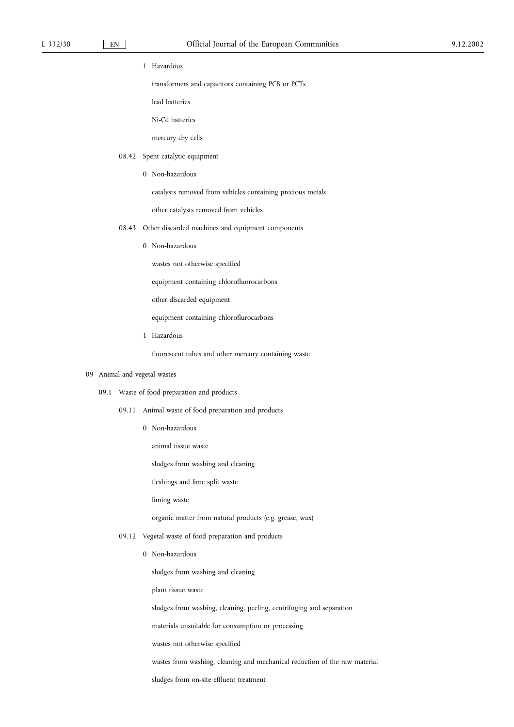1 Hazardous

transformers and capacitors containing PCB or PCTs

lead batteries

Ni-Cd batteries

mercury dry cells

- 08.42 Spent catalytic equipment
	- 0 Non-hazardous

catalysts removed from vehicles containing precious metals

other catalysts removed from vehicles

- 08.43 Other discarded machines and equipment components
	- 0 Non-hazardous

wastes not otherwise specified

equipment containing chlorofluorocarbons

other discarded equipment

equipment containing chloroflurocarbons

1 Hazardous

fluorescent tubes and other mercury containing waste

# 09 Animal and vegetal wastes

- 09.1 Waste of food preparation and products
	- 09.11 Animal waste of food preparation and products
		- 0 Non-hazardous

animal tissue waste

sludges from washing and cleaning

fleshings and lime split waste

liming waste

organic matter from natural products (e.g. grease, wax)

- 09.12 Vegetal waste of food preparation and products
	- 0 Non-hazardous

sludges from washing and cleaning

plant tissue waste

sludges from washing, cleaning, peeling, centrifuging and separation

materials unsuitable for consumption or processing

wastes not otherwise specified

wastes from washing, cleaning and mechanical reduction of the raw material

sludges from on-site effluent treatment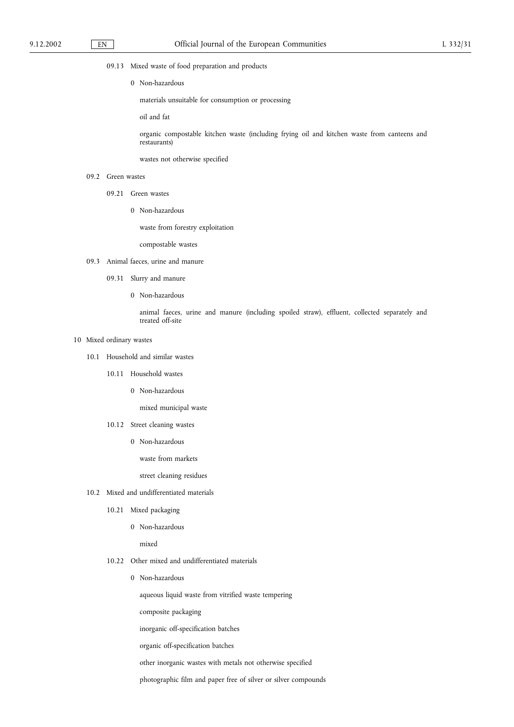- 09.13 Mixed waste of food preparation and products
	- 0 Non-hazardous

materials unsuitable for consumption or processing

oil and fat

organic compostable kitchen waste (including frying oil and kitchen waste from canteens and restaurants)

wastes not otherwise specified

- 09.2 Green wastes
	- 09.21 Green wastes
		- 0 Non-hazardous

waste from forestry exploitation

compostable wastes

- 09.3 Animal faeces, urine and manure
	- 09.31 Slurry and manure
		- 0 Non-hazardous

animal faeces, urine and manure (including spoiled straw), effluent, collected separately and treated off-site

#### 10 Mixed ordinary wastes

- 10.1 Household and similar wastes
	- 10.11 Household wastes
		- 0 Non-hazardous

mixed municipal waste

- 10.12 Street cleaning wastes
	- 0 Non-hazardous

waste from markets

street cleaning residues

- 10.2 Mixed and undifferentiated materials
	- 10.21 Mixed packaging
		- 0 Non-hazardous

mixed

- 10.22 Other mixed and undifferentiated materials
	- 0 Non-hazardous

aqueous liquid waste from vitrified waste tempering

composite packaging

inorganic off-specification batches

organic off-specification batches

other inorganic wastes with metals not otherwise specified

photographic film and paper free of silver or silver compounds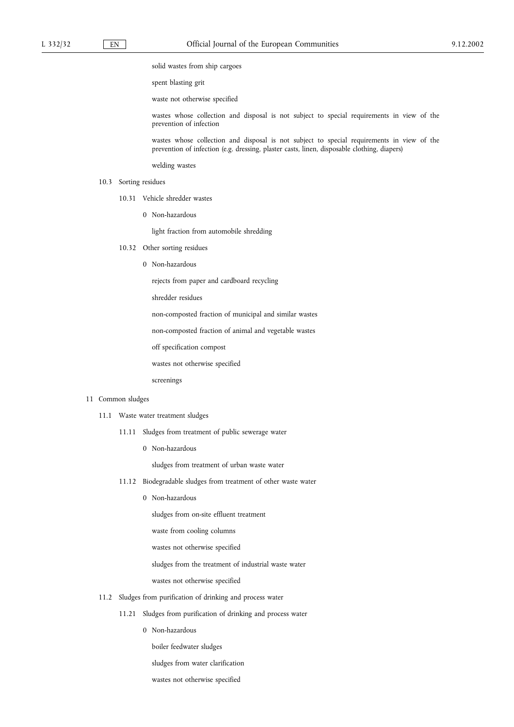solid wastes from ship cargoes

spent blasting grit

waste not otherwise specified

wastes whose collection and disposal is not subject to special requirements in view of the prevention of infection

wastes whose collection and disposal is not subject to special requirements in view of the prevention of infection (e.g. dressing, plaster casts, linen, disposable clothing, diapers)

welding wastes

- 10.3 Sorting residues
	- 10.31 Vehicle shredder wastes
		- 0 Non-hazardous

light fraction from automobile shredding

- 10.32 Other sorting residues
	- 0 Non-hazardous

rejects from paper and cardboard recycling

shredder residues

non-composted fraction of municipal and similar wastes

non-composted fraction of animal and vegetable wastes

off specification compost

wastes not otherwise specified

screenings

#### 11 Common sludges

- 11.1 Waste water treatment sludges
	- 11.11 Sludges from treatment of public sewerage water
		- 0 Non-hazardous

sludges from treatment of urban waste water

- 11.12 Biodegradable sludges from treatment of other waste water
	- 0 Non-hazardous

sludges from on-site effluent treatment

waste from cooling columns

wastes not otherwise specified

sludges from the treatment of industrial waste water

wastes not otherwise specified

- 11.2 Sludges from purification of drinking and process water
	- 11.21 Sludges from purification of drinking and process water
		- 0 Non-hazardous
			- boiler feedwater sludges
			- sludges from water clarification
			- wastes not otherwise specified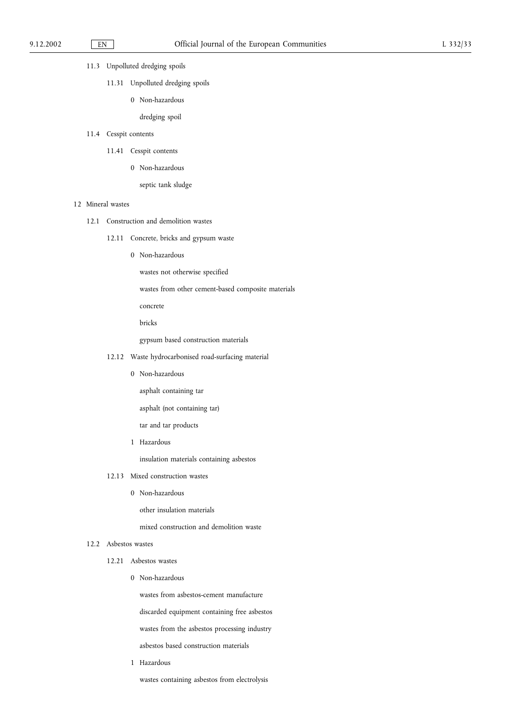# 11.3 Unpolluted dredging spoils

- 11.31 Unpolluted dredging spoils
	- 0 Non-hazardous

dredging spoil

- 11.4 Cesspit contents
	- 11.41 Cesspit contents
		- 0 Non-hazardous
			- septic tank sludge

# 12 Mineral wastes

- 12.1 Construction and demolition wastes
	- 12.11 Concrete, bricks and gypsum waste
		- 0 Non-hazardous

wastes not otherwise specified

wastes from other cement-based composite materials

concrete

bricks

gypsum based construction materials

- 12.12 Waste hydrocarbonised road-surfacing material
	- 0 Non-hazardous

asphalt containing tar

asphalt (not containing tar)

tar and tar products

1 Hazardous

insulation materials containing asbestos

- 12.13 Mixed construction wastes
	- 0 Non-hazardous

other insulation materials

mixed construction and demolition waste

# 12.2 Asbestos wastes

- 12.21 Asbestos wastes
	- 0 Non-hazardous

wastes from asbestos-cement manufacture

discarded equipment containing free asbestos

wastes from the asbestos processing industry

asbestos based construction materials

1 Hazardous

wastes containing asbestos from electrolysis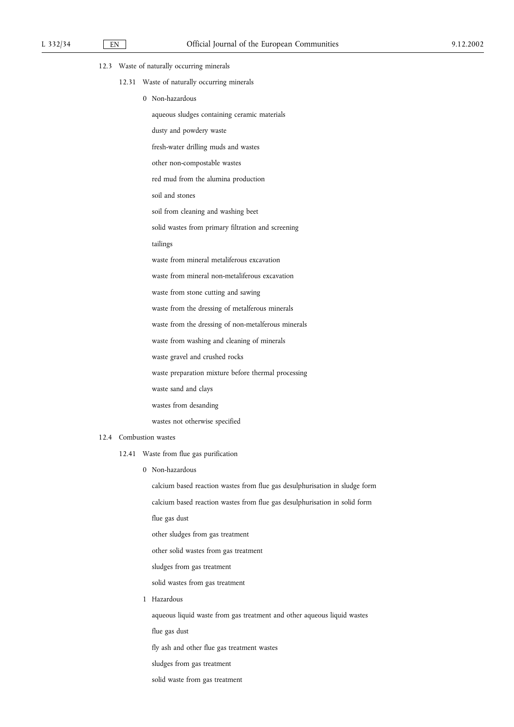- 12.3 Waste of naturally occurring minerals
	- 12.31 Waste of naturally occurring minerals
		- 0 Non-hazardous
			- aqueous sludges containing ceramic materials
			- dusty and powdery waste
			- fresh-water drilling muds and wastes
			- other non-compostable wastes
			- red mud from the alumina production
			- soil and stones
			- soil from cleaning and washing beet
			- solid wastes from primary filtration and screening
			- tailings
			- waste from mineral metaliferous excavation
			- waste from mineral non-metaliferous excavation
			- waste from stone cutting and sawing
			- waste from the dressing of metalferous minerals
			- waste from the dressing of non-metalferous minerals
			- waste from washing and cleaning of minerals
			- waste gravel and crushed rocks
			- waste preparation mixture before thermal processing
			- waste sand and clays
			- wastes from desanding
			- wastes not otherwise specified

## 12.4 Combustion wastes

- 12.41 Waste from flue gas purification
	- 0 Non-hazardous

calcium based reaction wastes from flue gas desulphurisation in sludge form calcium based reaction wastes from flue gas desulphurisation in solid form flue gas dust other sludges from gas treatment other solid wastes from gas treatment sludges from gas treatment solid wastes from gas treatment 1 Hazardous aqueous liquid waste from gas treatment and other aqueous liquid wastes flue gas dust

fly ash and other flue gas treatment wastes

- sludges from gas treatment
- solid waste from gas treatment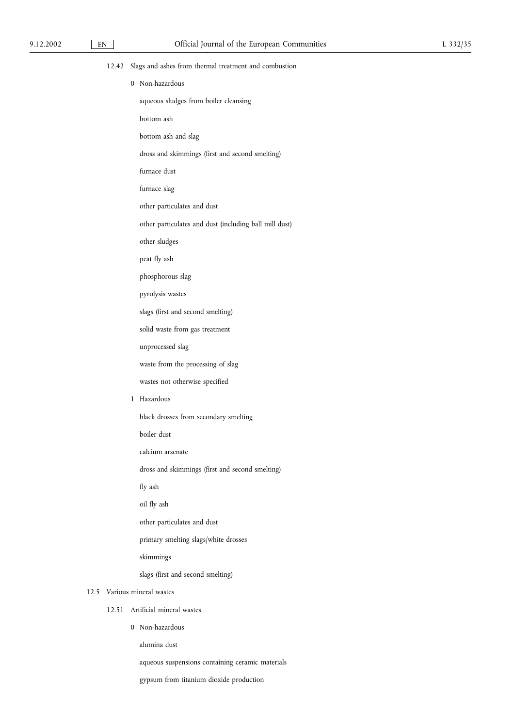| 9.12.2002 | $\mathop{\rm EN}\nolimits$ | Official Journal of the European Communities                | L 332/35 |
|-----------|----------------------------|-------------------------------------------------------------|----------|
|           |                            | 12.42 Slags and ashes from thermal treatment and combustion |          |
|           |                            | 0 Non-hazardous                                             |          |
|           |                            | aqueous sludges from boiler cleansing                       |          |
|           |                            | bottom ash                                                  |          |
|           |                            | bottom ash and slag                                         |          |
|           |                            | dross and skimmings (first and second smelting)             |          |
|           |                            | furnace dust                                                |          |
|           |                            | furnace slag                                                |          |
|           |                            | other particulates and dust                                 |          |
|           |                            | other particulates and dust (including ball mill dust)      |          |
|           |                            | other sludges                                               |          |
|           |                            | peat fly ash                                                |          |
|           |                            | phosphorous slag                                            |          |
|           |                            | pyrolysis wastes                                            |          |
|           |                            | slags (first and second smelting)                           |          |
|           |                            | solid waste from gas treatment                              |          |
|           |                            | unprocessed slag                                            |          |
|           |                            | waste from the processing of slag                           |          |
|           |                            | wastes not otherwise specified                              |          |
|           |                            | 1 Hazardous                                                 |          |
|           |                            | black drosses from secondary smelting                       |          |
|           |                            | boiler dust                                                 |          |
|           |                            | calcium arsenate                                            |          |
|           |                            | dross and skimmings (first and second smelting)             |          |
|           |                            | fly ash                                                     |          |
|           |                            | oil fly ash                                                 |          |
|           |                            | other particulates and dust                                 |          |
|           |                            | primary smelting slags/white drosses                        |          |
|           |                            | skimmings                                                   |          |
|           |                            | slags (first and second smelting)                           |          |
|           |                            | 12.5 Various mineral wastes                                 |          |
|           | 12.51                      | Artificial mineral wastes                                   |          |
|           |                            | 0 Non-hazardous                                             |          |
|           |                            | alumina dust                                                |          |
|           |                            | aqueous suspensions containing ceramic materials            |          |

gypsum from titanium dioxide production